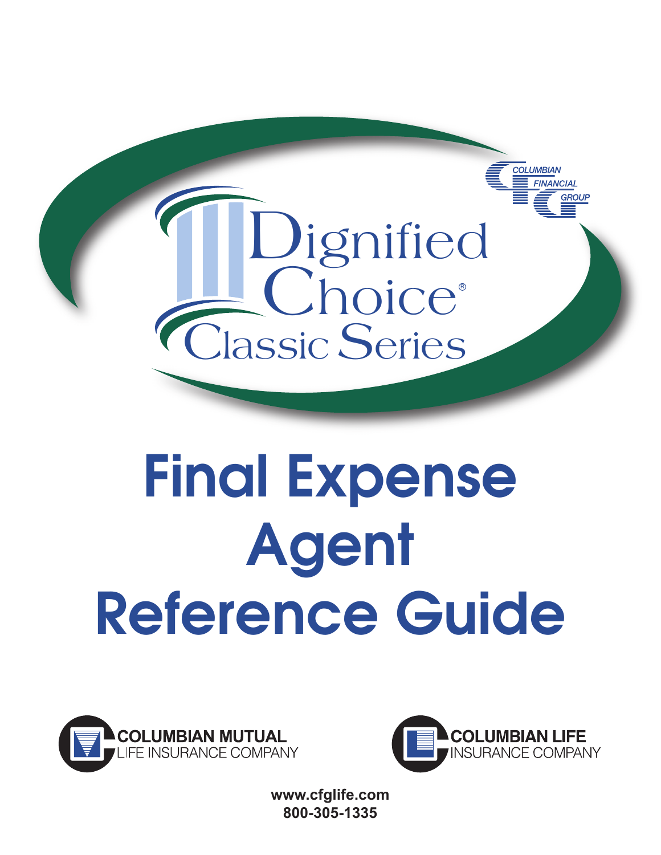

# **Final Expense Agent Reference Guide**





**www.cfglife.com 800-305-1335**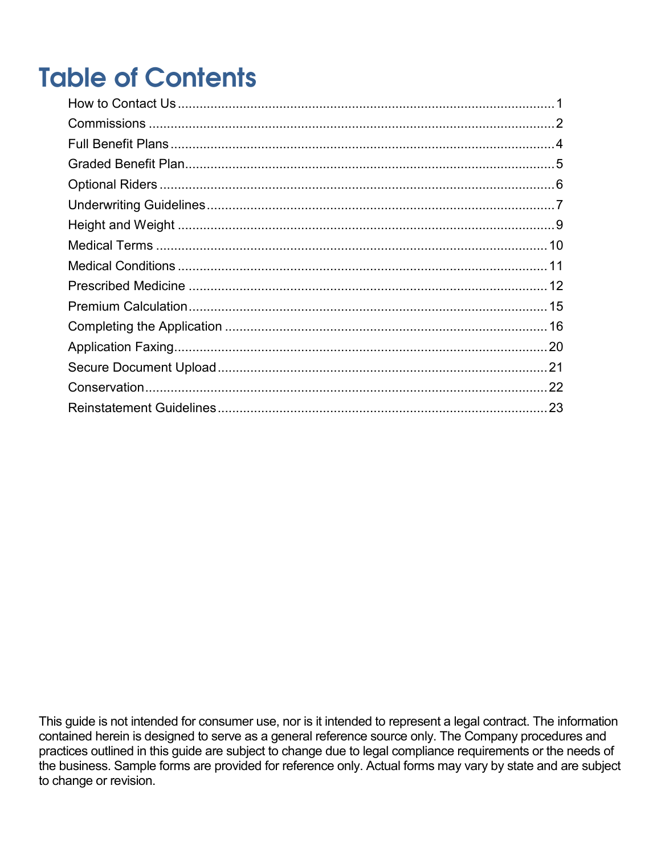## **Table of Contents**

This guide is not intended for consumer use, nor is it intended to represent a legal contract. The information contained herein is designed to serve as a general reference source only. The Company procedures and practices outlined in this guide are subject to change due to legal compliance requirements or the needs of the business. Sample forms are provided for reference only. Actual forms may vary by state and are subject to change or revision.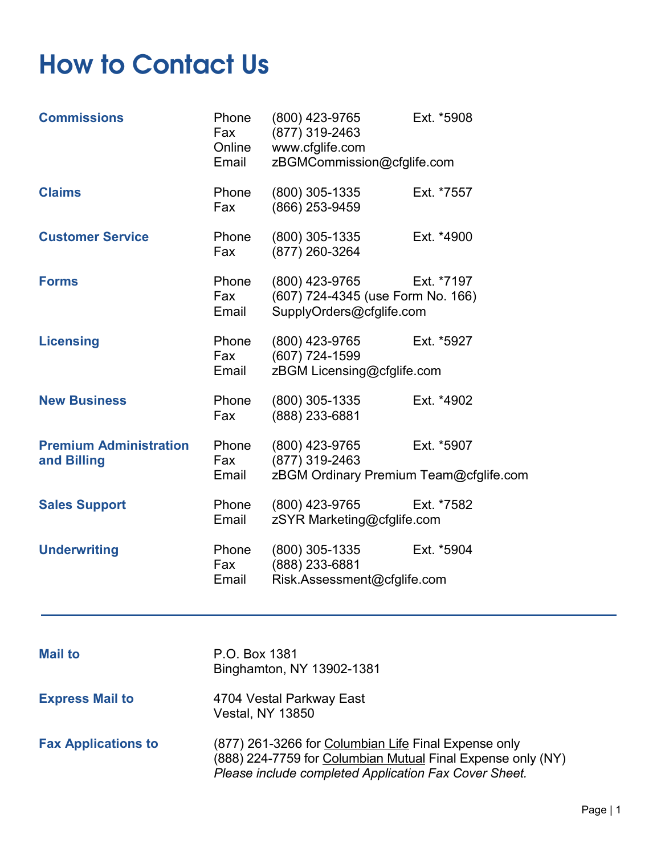### <span id="page-4-0"></span>**How to Contact Us**

| <b>Commissions</b>                           | Phone<br>Fax<br>Online<br>Email | (800) 423-9765<br>(877) 319-2463<br>www.cfglife.com<br>zBGMCommission@cfglife.com | Ext. *5908                                           |
|----------------------------------------------|---------------------------------|-----------------------------------------------------------------------------------|------------------------------------------------------|
| <b>Claims</b>                                | Phone<br>Fax                    | (800) 305-1335<br>(866) 253-9459                                                  | Ext. *7557                                           |
| <b>Customer Service</b>                      | Phone<br>Fax                    | (800) 305-1335<br>(877) 260-3264                                                  | Ext. *4900                                           |
| <b>Forms</b>                                 | Phone<br>Fax<br>Email           | (800) 423-9765<br>(607) 724-4345 (use Form No. 166)<br>SupplyOrders@cfglife.com   | Ext. *7197                                           |
| <b>Licensing</b>                             | Phone<br>Fax<br>Email           | (800) 423-9765<br>(607) 724-1599<br>zBGM Licensing@cfglife.com                    | Ext. *5927                                           |
| <b>New Business</b>                          | Phone<br>Fax                    | (800) 305-1335<br>(888) 233-6881                                                  | Ext. *4902                                           |
| <b>Premium Administration</b><br>and Billing | Phone<br>Fax<br>Email           | (800) 423-9765<br>(877) 319-2463                                                  | Ext. *5907<br>zBGM Ordinary Premium Team@cfglife.com |
| <b>Sales Support</b>                         | Phone<br>Email                  | (800) 423-9765<br>zSYR Marketing@cfglife.com                                      | Ext. *7582                                           |
| <b>Underwriting</b>                          | Phone<br>Fax<br>Email           | (800) 305-1335<br>(888) 233-6881<br>Risk.Assessment@cfglife.com                   | Ext. *5904                                           |
| <b>Mail to</b>                               | P.O. Box 1381                   |                                                                                   |                                                      |

Binghamton, NY 13902-1381 **Express Mail to** 4704 Vestal Parkway East Vestal, NY 13850 **Fax Applications to** (877) 261-3266 for Columbian Life Final Expense only (888) 224-7759 for Columbian Mutual Final Expense only (NY) *Please include completed Application Fax Cover Sheet.*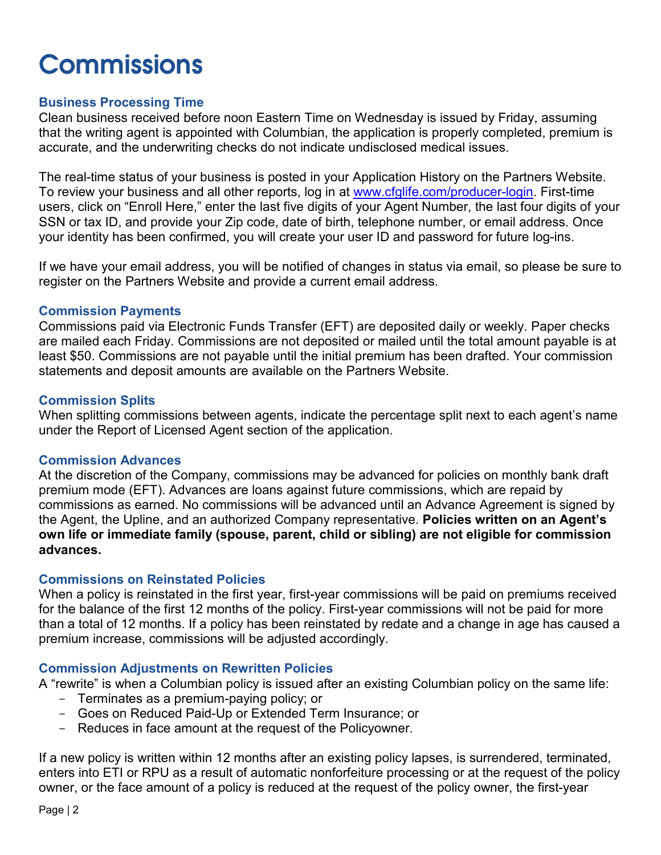### <span id="page-5-0"></span>**Commissions**

### **Business Processing Time**

Clean business received before noon Eastern Time on Wednesday is issued by Friday, assuming that the writing agent is appointed with Columbian, the application is properly completed, premium is accurate, and the underwriting checks do not indicate undisclosed medical issues.

The real-time status of your business is posted in your Application History on the Partners Website. To review your business and all other reports, log in at [www.cfglife.com/producer-login.](http://www.cfglife.com/producer-login) First-time users, click on "Enroll Here," enter the last five digits of your Agent Number, the last four digits of your SSN or tax ID, and provide your Zip code, date of birth, telephone number, or email address. Once your identity has been confirmed, you will create your user ID and password for future log-ins.

If we have your email address, you will be notified of changes in status via email, so please be sure to register on the Partners Website and provide a current email address.

#### **Commission Payments**

Commissions paid via Electronic Funds Transfer (EFT) are deposited daily or weekly. Paper checks are mailed each Friday. Commissions are not deposited or mailed until the total amount payable is at least \$50. Commissions are not payable until the initial premium has been drafted. Your commission statements and deposit amounts are available on the Partners Website.

#### **Commission Splits**

When splitting commissions between agents, indicate the percentage split next to each agent's name under the Report of Licensed Agent section of the application.

#### **Commission Advances**

At the discretion of the Company, commissions may be advanced for policies on monthly bank draft premium mode (EFT). Advances are loans against future commissions, which are repaid by commissions as earned. No commissions will be advanced until an Advance Agreement is signed by the Agent, the Upline, and an authorized Company representative. **Policies written on an Agent's own life or immediate family (spouse, parent, child or sibling) are not eligible for commission advances.** 

#### **Commissions on Reinstated Policies**

When a policy is reinstated in the first year, first-year commissions will be paid on premiums received for the balance of the first 12 months of the policy. First-year commissions will not be paid for more than a total of 12 months. If a policy has been reinstated by redate and a change in age has caused a premium increase, commissions will be adjusted accordingly.

#### **Commission Adjustments on Rewritten Policies**

A "rewrite" is when a Columbian policy is issued after an existing Columbian policy on the same life:

- Terminates as a premium-paying policy; or
- Goes on Reduced Paid-Up or Extended Term Insurance; or
- Reduces in face amount at the request of the Policyowner.

If a new policy is written within 12 months after an existing policy lapses, is surrendered, terminated, enters into ETI or RPU as a result of automatic nonforfeiture processing or at the request of the policy owner, or the face amount of a policy is reduced at the request of the policy owner, the first-year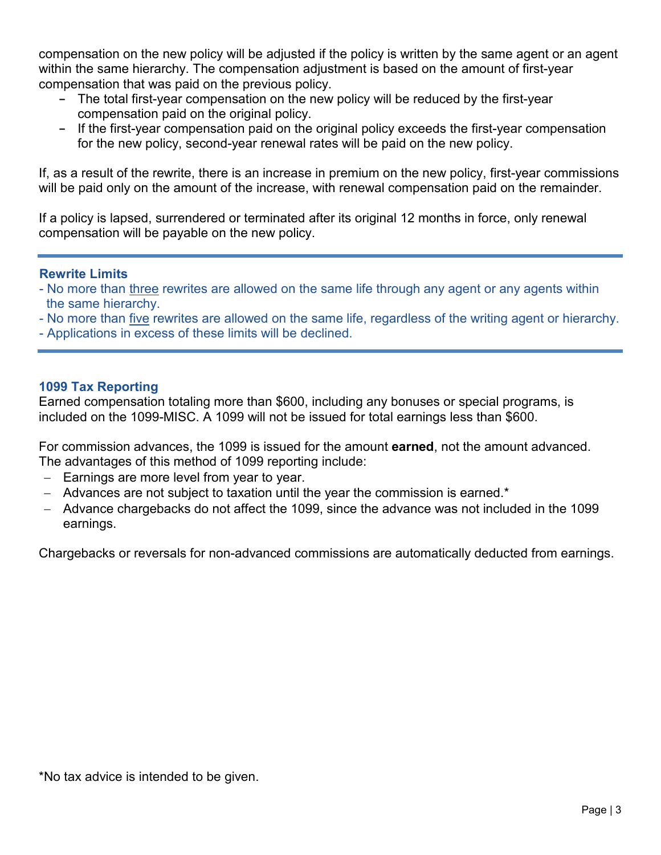compensation on the new policy will be adjusted if the policy is written by the same agent or an agent within the same hierarchy. The compensation adjustment is based on the amount of first-year compensation that was paid on the previous policy.

- **-** The total first-year compensation on the new policy will be reduced by the first-year compensation paid on the original policy.
- **-** If the first-year compensation paid on the original policy exceeds the first-year compensation for the new policy, second-year renewal rates will be paid on the new policy.

If, as a result of the rewrite, there is an increase in premium on the new policy, first-year commissions will be paid only on the amount of the increase, with renewal compensation paid on the remainder.

If a policy is lapsed, surrendered or terminated after its original 12 months in force, only renewal compensation will be payable on the new policy.

### **Rewrite Limits**

- No more than three rewrites are allowed on the same life through any agent or any agents within the same hierarchy.
- No more than five rewrites are allowed on the same life, regardless of the writing agent or hierarchy.
- Applications in excess of these limits will be declined.

### **1099 Tax Reporting**

Earned compensation totaling more than \$600, including any bonuses or special programs, is included on the 1099-MISC. A 1099 will not be issued for total earnings less than \$600.

For commission advances, the 1099 is issued for the amount **earned**, not the amount advanced. The advantages of this method of 1099 reporting include:

- − Earnings are more level from year to year.
- − Advances are not subject to taxation until the year the commission is earned.\*
- − Advance chargebacks do not affect the 1099, since the advance was not included in the 1099 earnings.

Chargebacks or reversals for non-advanced commissions are automatically deducted from earnings.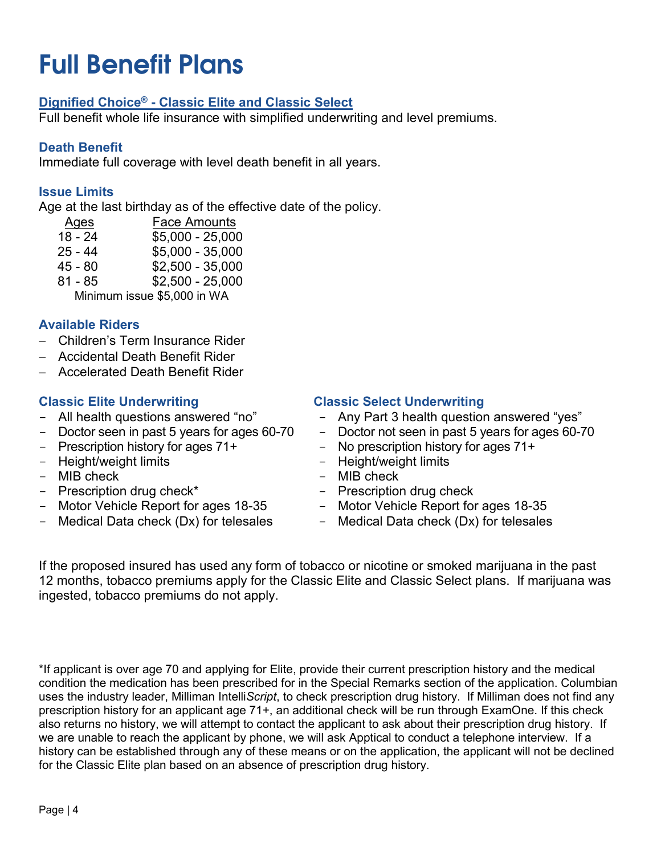### <span id="page-7-0"></span>**Full Benefit Plans**

### **Dignified Choice® - Classic Elite and Classic Select**

Full benefit whole life insurance with simplified underwriting and level premiums.

### **Death Benefit**

Immediate full coverage with level death benefit in all years.

### **Issue Limits**

Age at the last birthday as of the effective date of the policy.

- Ages Face Amounts 18 - 24 \$5,000 - 25,000
- $$5,000 35,000$
- 45 80 \$2,500 35,000
- 81 85 \$2,500 25,000

Minimum issue \$5,000 in WA

### **Available Riders**

- − Children's Term Insurance Rider
- − Accidental Death Benefit Rider
- − Accelerated Death Benefit Rider

### **Classic Elite Underwriting**

- All health questions answered "no"
- Doctor seen in past 5 years for ages 60-70
- Prescription history for ages 71+
- Height/weight limits
- MIB check
- Prescription drug check\*
- Motor Vehicle Report for ages 18-35
- Medical Data check (Dx) for telesales

### **Classic Select Underwriting**

- Any Part 3 health question answered "yes"
- Doctor not seen in past 5 years for ages 60-70
- No prescription history for ages 71+
- Height/weight limits
- MIB check
- Prescription drug check
- Motor Vehicle Report for ages 18-35<br>- Medical Data check (Dx) for telesales
- Medical Data check (Dx) for telesales

If the proposed insured has used any form of tobacco or nicotine or smoked marijuana in the past 12 months, tobacco premiums apply for the Classic Elite and Classic Select plans. If marijuana was ingested, tobacco premiums do not apply.

\*If applicant is over age 70 and applying for Elite, provide their current prescription history and the medical condition the medication has been prescribed for in the Special Remarks section of the application. Columbian uses the industry leader, Milliman Intelli*Script*, to check prescription drug history. If Milliman does not find any prescription history for an applicant age 71+, an additional check will be run through ExamOne. If this check also returns no history, we will attempt to contact the applicant to ask about their prescription drug history. If we are unable to reach the applicant by phone, we will ask Apptical to conduct a telephone interview. If a history can be established through any of these means or on the application, the applicant will not be declined for the Classic Elite plan based on an absence of prescription drug history.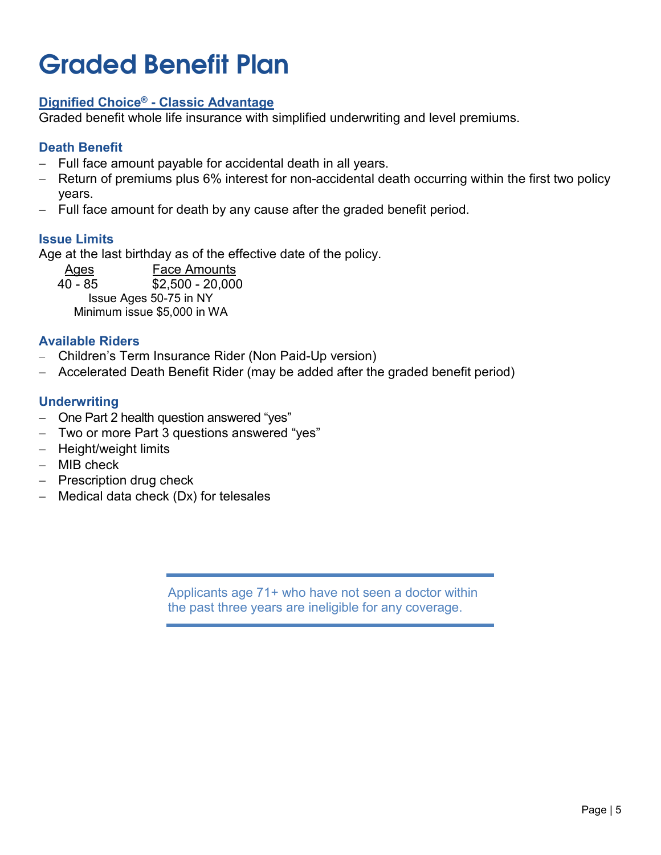### <span id="page-8-0"></span>**Graded Benefit Plan**

### **Dignified Choice® - Classic Advantage**

Graded benefit whole life insurance with simplified underwriting and level premiums.

### **Death Benefit**

- − Full face amount payable for accidental death in all years.
- Return of premiums plus 6% interest for non-accidental death occurring within the first two policy years.
- Full face amount for death by any cause after the graded benefit period.

### **Issue Limits**

Age at the last birthday as of the effective date of the policy.

Ages Face Amounts<br>40 - 85 \$2.500 - 20.000  $$2,500 - 20,000$ Issue Ages 50-75 in NY Minimum issue \$5,000 in WA

### **Available Riders**

- − Children's Term Insurance Rider (Non Paid-Up version)
- − Accelerated Death Benefit Rider (may be added after the graded benefit period)

### **Underwriting**

- − One Part 2 health question answered "yes"
- − Two or more Part 3 questions answered "yes"
- − Height/weight limits
- − MIB check
- − Prescription drug check
- − Medical data check (Dx) for telesales

Applicants age 71+ who have not seen a doctor within the past three years are ineligible for any coverage.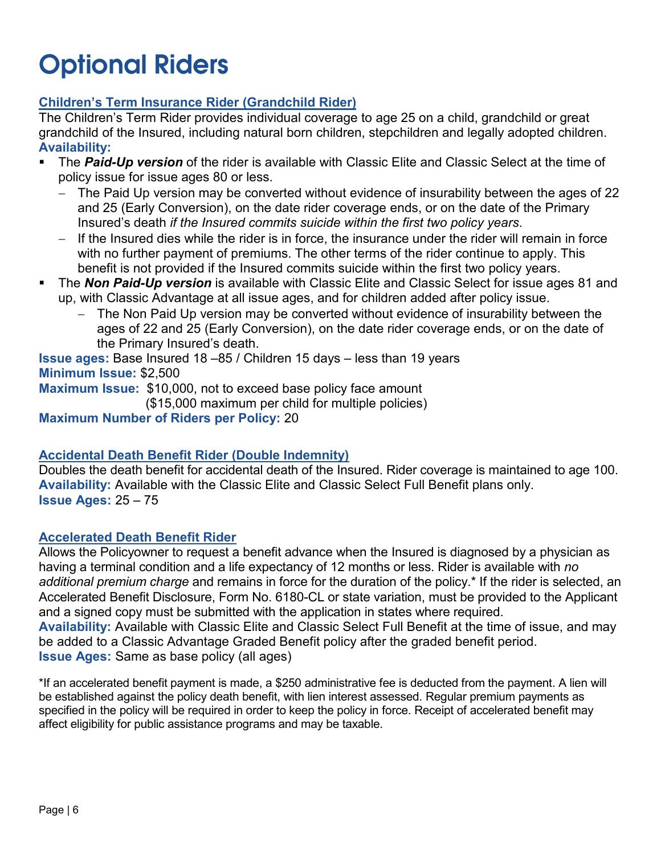### <span id="page-9-0"></span>**Optional Riders**

### **Children's Term Insurance Rider (Grandchild Rider)**

The Children's Term Rider provides individual coverage to age 25 on a child, grandchild or great grandchild of the Insured, including natural born children, stepchildren and legally adopted children. **Availability:**

- The *Paid-Up version* of the rider is available with Classic Elite and Classic Select at the time of policy issue for issue ages 80 or less.
	- − The Paid Up version may be converted without evidence of insurability between the ages of 22 and 25 (Early Conversion), on the date rider coverage ends, or on the date of the Primary Insured's death *if the Insured commits suicide within the first two policy years*.
	- − If the Insured dies while the rider is in force, the insurance under the rider will remain in force with no further payment of premiums. The other terms of the rider continue to apply. This benefit is not provided if the Insured commits suicide within the first two policy years.
- The *Non Paid-Up version* is available with Classic Elite and Classic Select for issue ages 81 and up, with Classic Advantage at all issue ages, and for children added after policy issue.
	- The Non Paid Up version may be converted without evidence of insurability between the ages of 22 and 25 (Early Conversion), on the date rider coverage ends, or on the date of the Primary Insured's death.

**Issue ages:** Base Insured 18 –85 / Children 15 days – less than 19 years **Minimum Issue:** \$2,500

**Maximum Issue:** \$10,000, not to exceed base policy face amount

(\$15,000 maximum per child for multiple policies)

**Maximum Number of Riders per Policy:** 20

### **Accidental Death Benefit Rider (Double Indemnity)**

Doubles the death benefit for accidental death of the Insured. Rider coverage is maintained to age 100. **Availability:** Available with the Classic Elite and Classic Select Full Benefit plans only. **Issue Ages:** 25 – 75

### **Accelerated Death Benefit Rider**

Allows the Policyowner to request a benefit advance when the Insured is diagnosed by a physician as having a terminal condition and a life expectancy of 12 months or less. Rider is available with *no additional premium charge* and remains in force for the duration of the policy.\* If the rider is selected, an Accelerated Benefit Disclosure, Form No. 6180-CL or state variation, must be provided to the Applicant and a signed copy must be submitted with the application in states where required. **Availability:** Available with Classic Elite and Classic Select Full Benefit at the time of issue, and may be added to a Classic Advantage Graded Benefit policy after the graded benefit period. **Issue Ages:** Same as base policy (all ages)

\*If an accelerated benefit payment is made, a \$250 administrative fee is deducted from the payment. A lien will be established against the policy death benefit, with lien interest assessed. Regular premium payments as specified in the policy will be required in order to keep the policy in force. Receipt of accelerated benefit may affect eligibility for public assistance programs and may be taxable.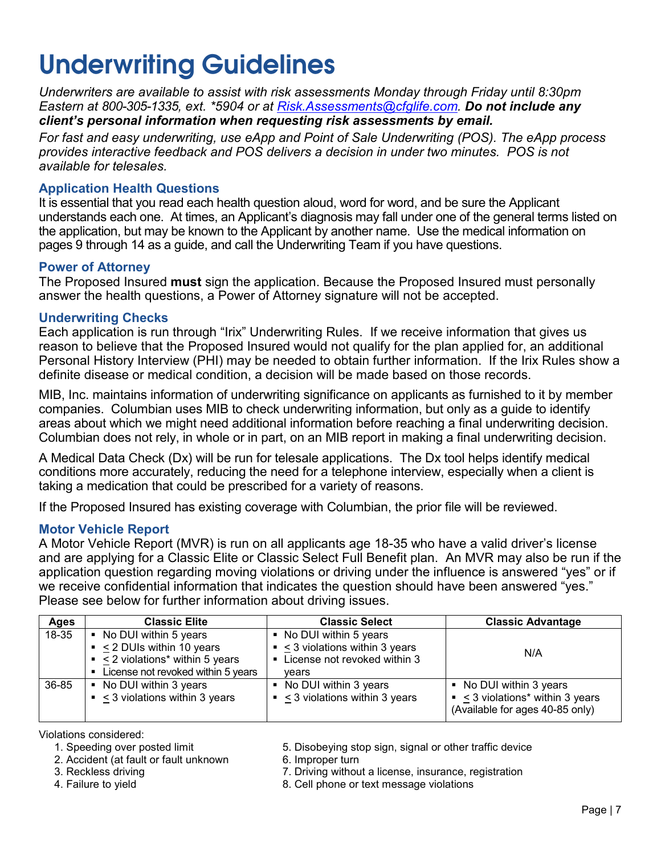### <span id="page-10-0"></span>**Underwriting Guidelines**

*Underwriters are available to assist with risk assessments Monday through Friday until 8:30pm Eastern at 800-305-1335, ext. \*5904 or at [Risk.Assessments@cfglife.com.](mailto:Risk.Assessments@cfglife.com) Do not include any client's personal information when requesting risk assessments by email.*

*For fast and easy underwriting, use eApp and Point of Sale Underwriting (POS). The eApp process provides interactive feedback and POS delivers a decision in under two minutes. POS is not available for telesales.*

#### **Application Health Questions**

It is essential that you read each health question aloud, word for word, and be sure the Applicant understands each one. At times, an Applicant's diagnosis may fall under one of the general terms listed on the application, but may be known to the Applicant by another name. Use the medical information on pages 9 through 14 as a guide, and call the Underwriting Team if you have questions.

#### **Power of Attorney**

The Proposed Insured **must** sign the application. Because the Proposed Insured must personally answer the health questions, a Power of Attorney signature will not be accepted.

#### **Underwriting Checks**

Each application is run through "Irix" Underwriting Rules. If we receive information that gives us reason to believe that the Proposed Insured would not qualify for the plan applied for, an additional Personal History Interview (PHI) may be needed to obtain further information. If the Irix Rules show a definite disease or medical condition, a decision will be made based on those records.

MIB, Inc. maintains information of underwriting significance on applicants as furnished to it by member companies. Columbian uses MIB to check underwriting information, but only as a guide to identify areas about which we might need additional information before reaching a final underwriting decision. Columbian does not rely, in whole or in part, on an MIB report in making a final underwriting decision.

A Medical Data Check (Dx) will be run for telesale applications. The Dx tool helps identify medical conditions more accurately, reducing the need for a telephone interview, especially when a client is taking a medication that could be prescribed for a variety of reasons.

If the Proposed Insured has existing coverage with Columbian, the prior file will be reviewed.

#### **Motor Vehicle Report**

A Motor Vehicle Report (MVR) is run on all applicants age 18-35 who have a valid driver's license and are applying for a Classic Elite or Classic Select Full Benefit plan. An MVR may also be run if the application question regarding moving violations or driving under the influence is answered "yes" or if we receive confidential information that indicates the question should have been answered "yes." Please see below for further information about driving issues.

| Ages  | <b>Classic Elite</b>                                                                                                                      | <b>Classic Select</b>                                                                                    | <b>Classic Advantage</b>                                                                            |
|-------|-------------------------------------------------------------------------------------------------------------------------------------------|----------------------------------------------------------------------------------------------------------|-----------------------------------------------------------------------------------------------------|
| 18-35 | • No DUI within 5 years<br>$\sim$ < 2 DUIs within 10 years<br>$\sim$ < 2 violations* within 5 years<br>License not revoked within 5 years | • No DUI within 5 years<br>$\sim$ < 3 violations within 3 years<br>License not revoked within 3<br>vears | N/A                                                                                                 |
| 36-85 | • No DUI within 3 years<br>$\sim$ < 3 violations within 3 years                                                                           | • No DUI within 3 years<br>$\sim$ < 3 violations within 3 years                                          | • No DUI within 3 years<br>$\sim$ < 3 violations* within 3 years<br>(Available for ages 40-85 only) |

- Violations considered:
	- 2. Accident (at fault or fault unknown
	-
	-

5. Disobeying stop sign, signal or other traffic device<br>6. Improper turn

- 3. Reckless driving and the matrix of the Taurus of T. Driving without a license, insurance, registration 4. Failure to yield
	- 8. Cell phone or text message violations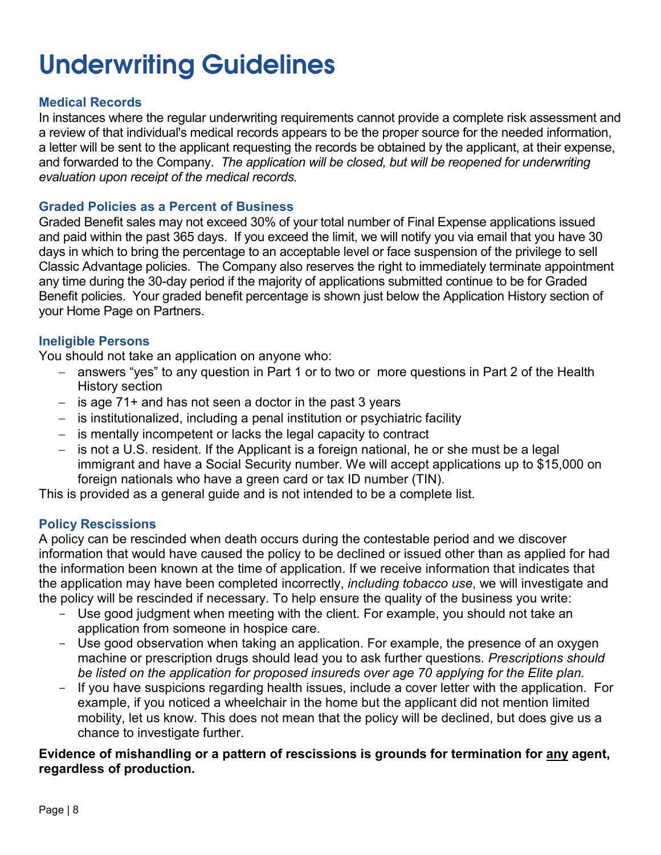### **Underwriting Guidelines**

### **Medical Records**

In instances where the regular underwriting requirements cannot provide a complete risk assessment and a review of that individual's medical records appears to be the proper source for the needed information, a letter will be sent to the applicant requesting the records be obtained by the applicant, at their expense, and forwarded to the Company. *The application will be closed, but will be reopened for underwriting evaluation upon receipt of the medical records.*

#### **Graded Policies as a Percent of Business**

Graded Benefit sales may not exceed 30% of your total number of Final Expense applications issued and paid within the past 365 days. If you exceed the limit, we will notify you via email that you have 30 days in which to bring the percentage to an acceptable level or face suspension of the privilege to sell Classic Advantage policies. The Company also reserves the right to immediately terminate appointment any time during the 30-day period if the majority of applications submitted continue to be for Graded Benefit policies. Your graded benefit percentage is shown just below the Application History section of your Home Page on Partners.

#### **Ineligible Persons**

You should not take an application on anyone who:

- − answers "yes" to any question in Part 1 or to two or more questions in Part 2 of the Health History section
- − is age 71+ and has not seen a doctor in the past 3 years
- − is institutionalized, including a penal institution or psychiatric facility
- − is mentally incompetent or lacks the legal capacity to contract
- − is not a U.S. resident. If the Applicant is a foreign national, he or she must be a legal immigrant and have a Social Security number. We will accept applications up to \$15,000 on foreign nationals who have a green card or tax ID number (TIN).

This is provided as a general guide and is not intended to be a complete list.

### **Policy Rescissions**

A policy can be rescinded when death occurs during the contestable period and we discover information that would have caused the policy to be declined or issued other than as applied for had the information been known at the time of application. If we receive information that indicates that the application may have been completed incorrectly, *including tobacco use*, we will investigate and the policy will be rescinded if necessary. To help ensure the quality of the business you write:

- Use good judgment when meeting with the client. For example, you should not take an application from someone in hospice care.
- Use good observation when taking an application. For example, the presence of an oxygen machine or prescription drugs should lead you to ask further questions. *Prescriptions should be listed on the application for proposed insureds over age 70 applying for the Elite plan.*
- If you have suspicions regarding health issues, include a cover letter with the application. For example, if you noticed a wheelchair in the home but the applicant did not mention limited mobility, let us know. This does not mean that the policy will be declined, but does give us a chance to investigate further.

#### **Evidence of mishandling or a pattern of rescissions is grounds for termination for any agent, regardless of production.**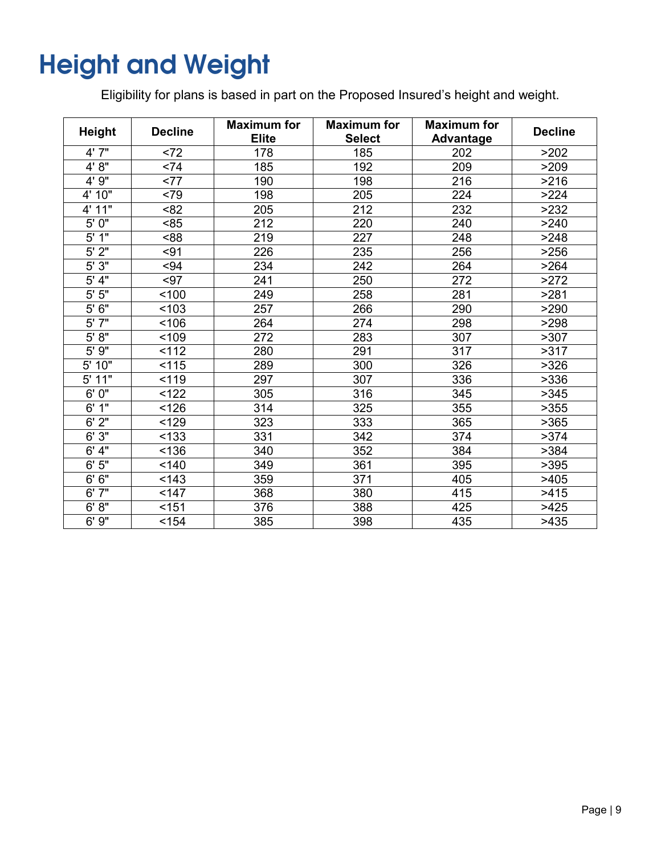### <span id="page-12-0"></span>**Height and Weight**

Eligibility for plans is based in part on the Proposed Insured's height and weight.

| <b>Height</b>       | <b>Decline</b> | <b>Maximum for</b><br><b>Elite</b> | <b>Maximum for</b><br><b>Select</b> | <b>Maximum for</b><br><b>Advantage</b> | <b>Decline</b> |
|---------------------|----------------|------------------------------------|-------------------------------------|----------------------------------------|----------------|
| 4' 7"               | < 72           | 178                                | 185                                 | 202                                    | >202           |
| 4' 8"               | < 74           | 185                                | 192                                 | 209                                    | >209           |
| 4' 9"               | <77            | 190                                | 198                                 | 216                                    | >216           |
| 4' 10"              | <79            | 198                                | 205                                 | 224                                    | >224           |
| 4' 11"              | < 82           | 205                                | 212                                 | 232                                    | >232           |
| 5' 0"               | < 85           | 212                                | 220                                 | 240                                    | >240           |
| 5'1"                | <88            | 219                                | 227                                 | 248                                    | >248           |
| 5'2"                | $91$           | 226                                | 235                                 | 256                                    | >256           |
| 5'3"                | $-94$          | 234                                | 242                                 | 264                                    | >264           |
| 5' 4"               | $-97$          | 241                                | 250                                 | 272                                    | >272           |
| $5'$ $5"$           | 100            | 249                                | 258                                 | 281                                    | >281           |
| 5'6''               | < 103          | 257                                | 266                                 | 290                                    | >290           |
| 5'7"                | 106            | 264                                | 274                                 | 298                                    | >298           |
| 5' 8''              | < 109          | 272                                | 283                                 | 307                                    | >307           |
| 9''<br>$5^{\prime}$ | 112            | 280                                | 291                                 | $\overline{317}$                       | >317           |
| 10"<br>5'           | 115            | 289                                | 300                                 | 326                                    | >326           |
| 5' 11"              | 119            | 297                                | 307                                 | 336                                    | >336           |
| 6'0''               | 122            | 305                                | 316                                 | 345                                    | >345           |
| 6' 1''              | < 126          | 314                                | 325                                 | 355                                    | >355           |
| 6'2''               | < 129          | 323                                | 333                                 | 365                                    | >365           |
| 6'3''               | < 133          | 331                                | 342                                 | 374                                    | >374           |
| 6' 4"               | < 136          | 340                                | 352                                 | 384                                    | >384           |
| 6'5''               | 140            | 349                                | 361                                 | 395                                    | >395           |
| 6'6''               | 143            | 359                                | 371                                 | 405                                    | >405           |
| 6'7''               | 147            | 368                                | 380                                 | 415                                    | >415           |
| 6' 8''              | $151$          | 376                                | 388                                 | 425                                    | >425           |
| 6'9''               | < 154          | 385                                | 398                                 | 435                                    | >435           |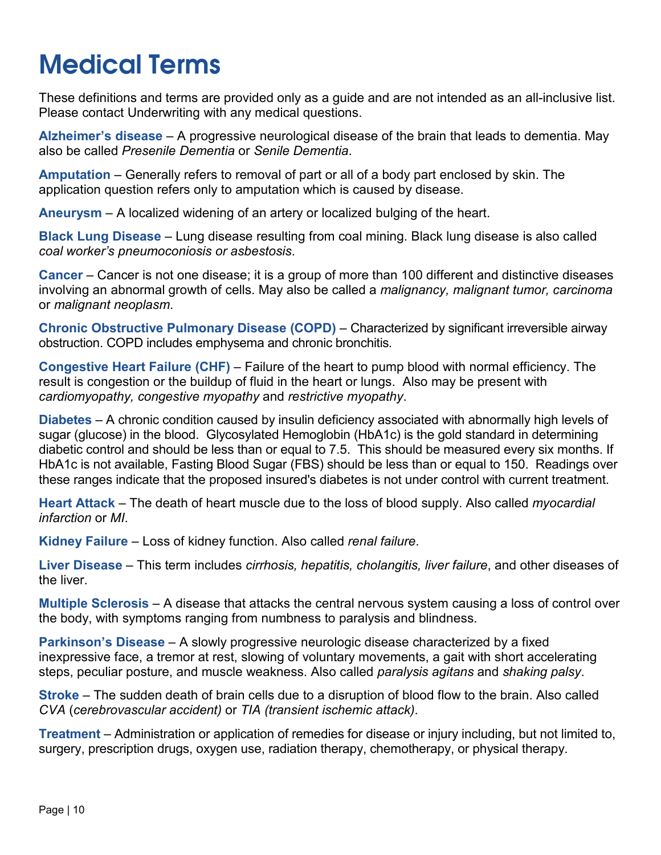### <span id="page-13-0"></span>**Medical Terms**

These definitions and terms are provided only as a guide and are not intended as an all-inclusive list. Please contact Underwriting with any medical questions.

**Alzheimer's disease** – A progressive neurological disease of the brain that leads to dementia. May also be called *Presenile Dementia* or *Senile Dementia*.

**Amputation** – Generally refers to removal of part or all of a body part enclosed by skin. The application question refers only to amputation which is caused by disease.

**Aneurysm** – A localized widening of an artery or localized bulging of the heart.

**Black Lung Disease** – Lung disease resulting from coal mining. Black lung disease is also called *coal worker's pneumoconiosis or asbestosis*.

**Cancer** – Cancer is not one disease; it is a group of more than 100 different and distinctive diseases involving an abnormal growth of cells. May also be called a *malignancy, malignant tumor, carcinoma*  or *malignant neoplasm*.

**Chronic Obstructive Pulmonary Disease (COPD)** – Characterized by significant irreversible airway obstruction. COPD includes emphysema and chronic bronchitis*.*

**Congestive Heart Failure (CHF)** – Failure of the heart to pump blood with normal efficiency. The result is congestion or the buildup of fluid in the heart or lungs. Also may be present with *cardiomyopathy, congestive myopathy* and *restrictive myopathy*.

**Diabetes** – A chronic condition caused by insulin deficiency associated with abnormally high levels of sugar (glucose) in the blood. Glycosylated Hemoglobin (HbA1c) is the gold standard in determining diabetic control and should be less than or equal to 7.5. This should be measured every six months. If HbA1c is not available, Fasting Blood Sugar (FBS) should be less than or equal to 150. Readings over these ranges indicate that the proposed insured's diabetes is not under control with current treatment.

**Heart Attack** – The death of heart muscle due to the loss of blood supply. Also called *myocardial infarction* or *MI*.

**Kidney Failure** – Loss of kidney function. Also called *renal failure*.

**Liver Disease** – This term includes *cirrhosis, hepatitis, cholangitis, liver failure*, and other diseases of the liver.

**Multiple Sclerosis** – A disease that attacks the central nervous system causing a loss of control over the body, with symptoms ranging from numbness to paralysis and blindness.

**Parkinson's Disease** – A slowly progressive neurologic disease characterized by a fixed inexpressive face, a tremor at rest, slowing of voluntary movements, a gait with short accelerating steps, peculiar posture, and muscle weakness. Also called *paralysis agitans* and *shaking palsy*.

**Stroke** – The sudden death of brain cells due to a disruption of blood flow to the brain. Also called *CVA* (*cerebrovascular accident)* or *TIA (transient ischemic attack)*.

**Treatment** – Administration or application of remedies for disease or injury including, but not limited to, surgery, prescription drugs, oxygen use, radiation therapy, chemotherapy, or physical therapy.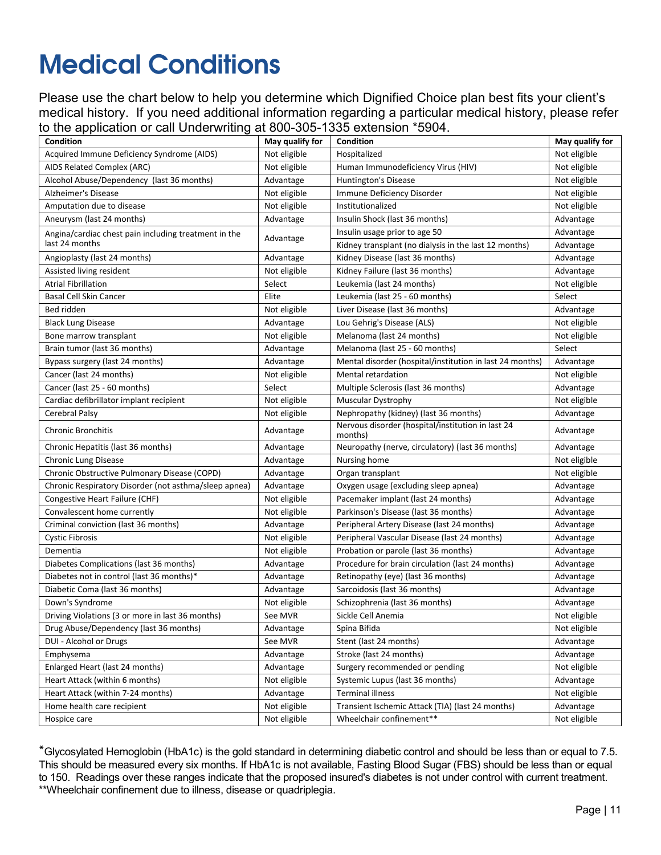### <span id="page-14-0"></span>**Medical Conditions**

Please use the chart below to help you determine which Dignified Choice plan best fits your client's medical history. If you need additional information regarding a particular medical history, please refer to the application or call Underwriting at 800-305-1335 extension \*5904.

| <b>Condition</b>                                      | May qualify for | Condition                                                    | May qualify for |
|-------------------------------------------------------|-----------------|--------------------------------------------------------------|-----------------|
| Acquired Immune Deficiency Syndrome (AIDS)            | Not eligible    | Hospitalized                                                 | Not eligible    |
| AIDS Related Complex (ARC)                            | Not eligible    | Human Immunodeficiency Virus (HIV)                           | Not eligible    |
| Alcohol Abuse/Dependency (last 36 months)             | Advantage       | Huntington's Disease                                         | Not eligible    |
| Alzheimer's Disease                                   | Not eligible    | Immune Deficiency Disorder                                   | Not eligible    |
| Amputation due to disease                             | Not eligible    | Institutionalized                                            | Not eligible    |
| Aneurysm (last 24 months)                             | Advantage       | Insulin Shock (last 36 months)                               | Advantage       |
| Angina/cardiac chest pain including treatment in the  |                 | Insulin usage prior to age 50                                | Advantage       |
| last 24 months                                        | Advantage       | Kidney transplant (no dialysis in the last 12 months)        | Advantage       |
| Angioplasty (last 24 months)                          | Advantage       | Kidney Disease (last 36 months)                              | Advantage       |
| Assisted living resident                              | Not eligible    | Kidney Failure (last 36 months)                              | Advantage       |
| <b>Atrial Fibrillation</b>                            | Select          | Leukemia (last 24 months)                                    | Not eligible    |
| <b>Basal Cell Skin Cancer</b>                         | Elite           | Leukemia (last 25 - 60 months)                               | Select          |
| Bed ridden                                            | Not eligible    | Liver Disease (last 36 months)                               | Advantage       |
| <b>Black Lung Disease</b>                             | Advantage       | Lou Gehrig's Disease (ALS)                                   | Not eligible    |
| Bone marrow transplant                                | Not eligible    | Melanoma (last 24 months)                                    | Not eligible    |
| Brain tumor (last 36 months)                          | Advantage       | Melanoma (last 25 - 60 months)                               | Select          |
| Bypass surgery (last 24 months)                       | Advantage       | Mental disorder (hospital/institution in last 24 months)     | Advantage       |
| Cancer (last 24 months)                               | Not eligible    | Mental retardation                                           | Not eligible    |
| Cancer (last 25 - 60 months)                          | Select          | Multiple Sclerosis (last 36 months)                          | Advantage       |
| Cardiac defibrillator implant recipient               | Not eligible    | Muscular Dystrophy                                           | Not eligible    |
| Cerebral Palsy                                        | Not eligible    | Nephropathy (kidney) (last 36 months)                        | Advantage       |
| <b>Chronic Bronchitis</b>                             | Advantage       | Nervous disorder (hospital/institution in last 24<br>months) | Advantage       |
| Chronic Hepatitis (last 36 months)                    | Advantage       | Neuropathy (nerve, circulatory) (last 36 months)             | Advantage       |
| <b>Chronic Lung Disease</b>                           | Advantage       | Nursing home                                                 | Not eligible    |
| Chronic Obstructive Pulmonary Disease (COPD)          | Advantage       | Organ transplant                                             | Not eligible    |
| Chronic Respiratory Disorder (not asthma/sleep apnea) | Advantage       | Oxygen usage (excluding sleep apnea)                         | Advantage       |
| Congestive Heart Failure (CHF)                        | Not eligible    | Pacemaker implant (last 24 months)                           | Advantage       |
| Convalescent home currently                           | Not eligible    | Parkinson's Disease (last 36 months)                         | Advantage       |
| Criminal conviction (last 36 months)                  | Advantage       | Peripheral Artery Disease (last 24 months)                   | Advantage       |
| <b>Cystic Fibrosis</b>                                | Not eligible    | Peripheral Vascular Disease (last 24 months)                 | Advantage       |
| Dementia                                              | Not eligible    | Probation or parole (last 36 months)                         | Advantage       |
| Diabetes Complications (last 36 months)               | Advantage       | Procedure for brain circulation (last 24 months)             | Advantage       |
| Diabetes not in control (last 36 months)*             | Advantage       | Retinopathy (eye) (last 36 months)                           | Advantage       |
| Diabetic Coma (last 36 months)                        | Advantage       | Sarcoidosis (last 36 months)                                 | Advantage       |
| Down's Syndrome                                       | Not eligible    | Schizophrenia (last 36 months)                               | Advantage       |
| Driving Violations (3 or more in last 36 months)      | See MVR         | Sickle Cell Anemia                                           | Not eligible    |
| Drug Abuse/Dependency (last 36 months)                | Advantage       | Spina Bifida                                                 | Not eligible    |
| DUI - Alcohol or Drugs                                | See MVR         | Stent (last 24 months)                                       | Advantage       |
| Emphysema                                             | Advantage       | Stroke (last 24 months)                                      | Advantage       |
| Enlarged Heart (last 24 months)                       | Advantage       | Surgery recommended or pending                               | Not eligible    |
| Heart Attack (within 6 months)                        | Not eligible    | Systemic Lupus (last 36 months)                              | Advantage       |
| Heart Attack (within 7-24 months)                     | Advantage       | <b>Terminal illness</b>                                      | Not eligible    |
| Home health care recipient                            | Not eligible    | Transient Ischemic Attack (TIA) (last 24 months)             | Advantage       |
| Hospice care                                          | Not eligible    | Wheelchair confinement**                                     | Not eligible    |

\*Glycosylated Hemoglobin (HbA1c) is the gold standard in determining diabetic control and should be less than or equal to 7.5. This should be measured every six months. If HbA1c is not available, Fasting Blood Sugar (FBS) should be less than or equal to 150. Readings over these ranges indicate that the proposed insured's diabetes is not under control with current treatment. \*\*Wheelchair confinement due to illness, disease or quadriplegia.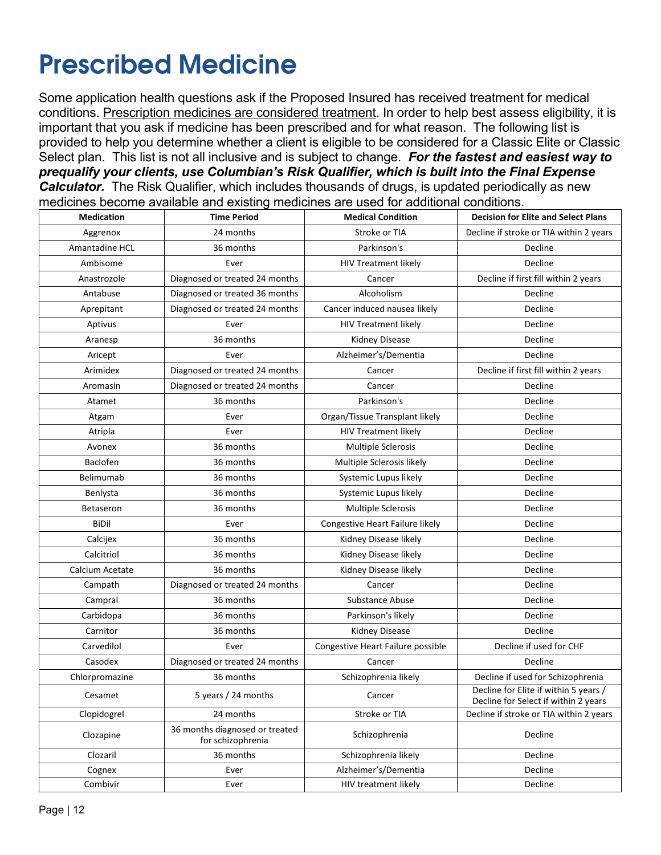### <span id="page-15-0"></span>**Prescribed Medicine**

Some application health questions ask if the Proposed Insured has received treatment for medical conditions. Prescription medicines are considered treatment. In order to help best assess eligibility, it is important that you ask if medicine has been prescribed and for what reason. The following list is provided to help you determine whether a client is eligible to be considered for a Classic Elite or Classic Select plan. This list is not all inclusive and is subject to change. *For the fastest and easiest way to prequalify your clients, use Columbian's Risk Qualifier, which is built into the Final Expense*  **Calculator.** The Risk Qualifier, which includes thousands of drugs, is updated periodically as new medicines become available and existing medicines are used for additional conditions.

| <b>Medication</b> | <b>Time Period</b>                                  | <b>Medical Condition</b>          | <b>Decision for Elite and Select Plans</b>                                    |
|-------------------|-----------------------------------------------------|-----------------------------------|-------------------------------------------------------------------------------|
| Aggrenox          | 24 months                                           | Stroke or TIA                     | Decline if stroke or TIA within 2 years                                       |
| Amantadine HCL    | 36 months                                           | Parkinson's                       | Decline                                                                       |
| Ambisome          | Ever                                                | <b>HIV Treatment likely</b>       | Decline                                                                       |
| Anastrozole       | Diagnosed or treated 24 months                      | Cancer                            | Decline if first fill within 2 years                                          |
| Antabuse          | Diagnosed or treated 36 months                      | Alcoholism                        | Decline                                                                       |
| Aprepitant        | Diagnosed or treated 24 months                      | Cancer induced nausea likely      | Decline                                                                       |
| Aptivus           | Ever                                                | <b>HIV Treatment likely</b>       | Decline                                                                       |
| Aranesp           | 36 months                                           | Kidney Disease                    | Decline                                                                       |
| Aricept           | Ever                                                | Alzheimer's/Dementia              | Decline                                                                       |
| Arimidex          | Diagnosed or treated 24 months                      | Cancer                            | Decline if first fill within 2 years                                          |
| Aromasin          | Diagnosed or treated 24 months                      | Cancer                            | Decline                                                                       |
| Atamet            | 36 months                                           | Parkinson's                       | Decline                                                                       |
| Atgam             | Ever                                                | Organ/Tissue Transplant likely    | Decline                                                                       |
| Atripla           | Ever                                                | <b>HIV Treatment likely</b>       | Decline                                                                       |
| Avonex            | 36 months                                           | Multiple Sclerosis                | Decline                                                                       |
| Baclofen          | 36 months                                           | Multiple Sclerosis likely         | Decline                                                                       |
| Belimumab         | 36 months                                           | Systemic Lupus likely             | Decline                                                                       |
| Benlysta          | 36 months                                           | Systemic Lupus likely             | Decline                                                                       |
| Betaseron         | 36 months                                           | Multiple Sclerosis                | Decline                                                                       |
| <b>BiDil</b>      | Ever                                                | Congestive Heart Failure likely   | Decline                                                                       |
| Calcijex          | 36 months                                           | Kidney Disease likely             | Decline                                                                       |
| Calcitriol        | 36 months                                           | Kidney Disease likely             | Decline                                                                       |
| Calcium Acetate   | 36 months                                           | Kidney Disease likely             | Decline                                                                       |
| Campath           | Diagnosed or treated 24 months                      | Cancer                            | Decline                                                                       |
| Campral           | 36 months                                           | Substance Abuse                   | Decline                                                                       |
| Carbidopa         | 36 months                                           | Parkinson's likely                | Decline                                                                       |
| Carnitor          | 36 months                                           | Kidney Disease                    | Decline                                                                       |
| Carvedilol        | Ever                                                | Congestive Heart Failure possible | Decline if used for CHF                                                       |
| Casodex           | Diagnosed or treated 24 months                      | Cancer                            | Decline                                                                       |
| Chlorpromazine    | 36 months                                           | Schizophrenia likely              | Decline if used for Schizophrenia                                             |
| Cesamet           | 5 years / 24 months                                 | Cancer                            | Decline for Elite if within 5 years /<br>Decline for Select if within 2 years |
| Clopidogrel       | 24 months                                           | Stroke or TIA                     | Decline if stroke or TIA within 2 years                                       |
| Clozapine         | 36 months diagnosed or treated<br>for schizophrenia | Schizophrenia                     | Decline                                                                       |
| Clozaril          | 36 months                                           | Schizophrenia likely              | Decline                                                                       |
| Cognex            | Ever                                                | Alzheimer's/Dementia              | Decline                                                                       |
| Combivir          | Ever                                                | HIV treatment likely              | Decline                                                                       |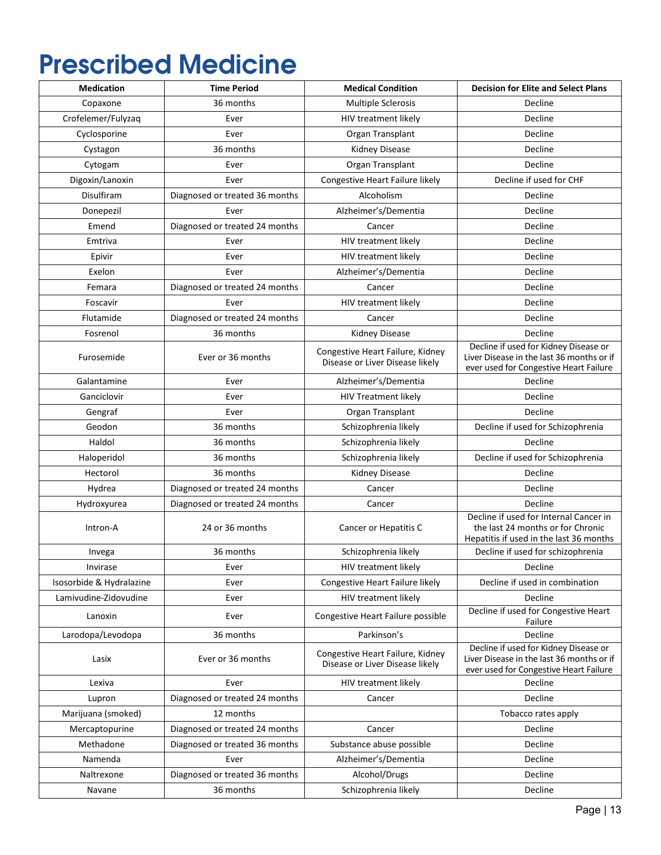### **Prescribed Medicine**

| <b>Medication</b>        | <b>Time Period</b>             | <b>Medical Condition</b>                                            | <b>Decision for Elite and Select Plans</b>                                                                                   |
|--------------------------|--------------------------------|---------------------------------------------------------------------|------------------------------------------------------------------------------------------------------------------------------|
| Copaxone                 | 36 months                      | <b>Multiple Sclerosis</b>                                           | Decline                                                                                                                      |
| Crofelemer/Fulyzaq       | Ever                           | HIV treatment likely                                                | Decline                                                                                                                      |
| Cyclosporine             | Ever                           | Organ Transplant                                                    | Decline                                                                                                                      |
| Cystagon                 | 36 months                      | <b>Kidney Disease</b>                                               | Decline                                                                                                                      |
| Cytogam                  | Ever                           | Organ Transplant                                                    | Decline                                                                                                                      |
| Digoxin/Lanoxin          | Ever                           | Congestive Heart Failure likely                                     | Decline if used for CHF                                                                                                      |
| Disulfiram               | Diagnosed or treated 36 months | Alcoholism                                                          | Decline                                                                                                                      |
| Donepezil                | Ever                           | Alzheimer's/Dementia                                                | Decline                                                                                                                      |
| Emend                    | Diagnosed or treated 24 months | Cancer                                                              | Decline                                                                                                                      |
| Emtriva                  | Ever                           | HIV treatment likely                                                | Decline                                                                                                                      |
| Epivir                   | Ever                           | HIV treatment likely                                                | Decline                                                                                                                      |
| Exelon                   | Ever                           | Alzheimer's/Dementia                                                | Decline                                                                                                                      |
| Femara                   | Diagnosed or treated 24 months | Cancer                                                              | Decline                                                                                                                      |
| Foscavir                 | Ever                           | HIV treatment likely                                                | Decline                                                                                                                      |
| Flutamide                | Diagnosed or treated 24 months | Cancer                                                              | Decline                                                                                                                      |
| Fosrenol                 | 36 months                      | Kidney Disease                                                      | Decline                                                                                                                      |
| Furosemide               | Ever or 36 months              | Congestive Heart Failure, Kidney<br>Disease or Liver Disease likely | Decline if used for Kidney Disease or<br>Liver Disease in the last 36 months or if<br>ever used for Congestive Heart Failure |
| Galantamine              | Ever                           | Alzheimer's/Dementia                                                | Decline                                                                                                                      |
| Ganciclovir              | Ever                           | <b>HIV Treatment likely</b>                                         | Decline                                                                                                                      |
| Gengraf                  | Ever                           | Organ Transplant                                                    | Decline                                                                                                                      |
| Geodon                   | 36 months                      | Schizophrenia likely                                                | Decline if used for Schizophrenia                                                                                            |
| Haldol                   | 36 months                      | Schizophrenia likely                                                | Decline                                                                                                                      |
| Haloperidol              | 36 months                      | Schizophrenia likely                                                | Decline if used for Schizophrenia                                                                                            |
| Hectorol                 | 36 months                      | Kidney Disease                                                      | Decline                                                                                                                      |
| Hydrea                   | Diagnosed or treated 24 months | Cancer                                                              | Decline                                                                                                                      |
| Hydroxyurea              | Diagnosed or treated 24 months | Cancer                                                              | Decline                                                                                                                      |
| Intron-A                 | 24 or 36 months                | Cancer or Hepatitis C                                               | Decline if used for Internal Cancer in<br>the last 24 months or for Chronic<br>Hepatitis if used in the last 36 months       |
| Invega                   | 36 months                      | Schizophrenia likely                                                | Decline if used for schizophrenia                                                                                            |
| Invirase                 | Ever                           | HIV treatment likely                                                | Decline                                                                                                                      |
| Isosorbide & Hydralazine | Ever                           | Congestive Heart Failure likely                                     | Decline if used in combination                                                                                               |
| Lamivudine-Zidovudine    | Ever                           | HIV treatment likely                                                | Decline                                                                                                                      |
| Lanoxin                  | Ever                           | Congestive Heart Failure possible                                   | Decline if used for Congestive Heart<br>Failure                                                                              |
| Larodopa/Levodopa        | 36 months                      | Parkinson's                                                         | Decline                                                                                                                      |
| Lasix                    | Ever or 36 months              | Congestive Heart Failure, Kidney<br>Disease or Liver Disease likely | Decline if used for Kidney Disease or<br>Liver Disease in the last 36 months or if<br>ever used for Congestive Heart Failure |
| Lexiva                   | Ever                           | HIV treatment likely                                                | Decline                                                                                                                      |
| Lupron                   | Diagnosed or treated 24 months | Cancer                                                              | Decline                                                                                                                      |
| Marijuana (smoked)       | 12 months                      |                                                                     | Tobacco rates apply                                                                                                          |
| Mercaptopurine           | Diagnosed or treated 24 months | Cancer                                                              | Decline                                                                                                                      |
| Methadone                | Diagnosed or treated 36 months | Substance abuse possible                                            | Decline                                                                                                                      |
| Namenda                  | Ever                           | Alzheimer's/Dementia                                                | Decline                                                                                                                      |
| Naltrexone               | Diagnosed or treated 36 months | Alcohol/Drugs                                                       | Decline                                                                                                                      |
| Navane                   | 36 months                      | Schizophrenia likely                                                | Decline                                                                                                                      |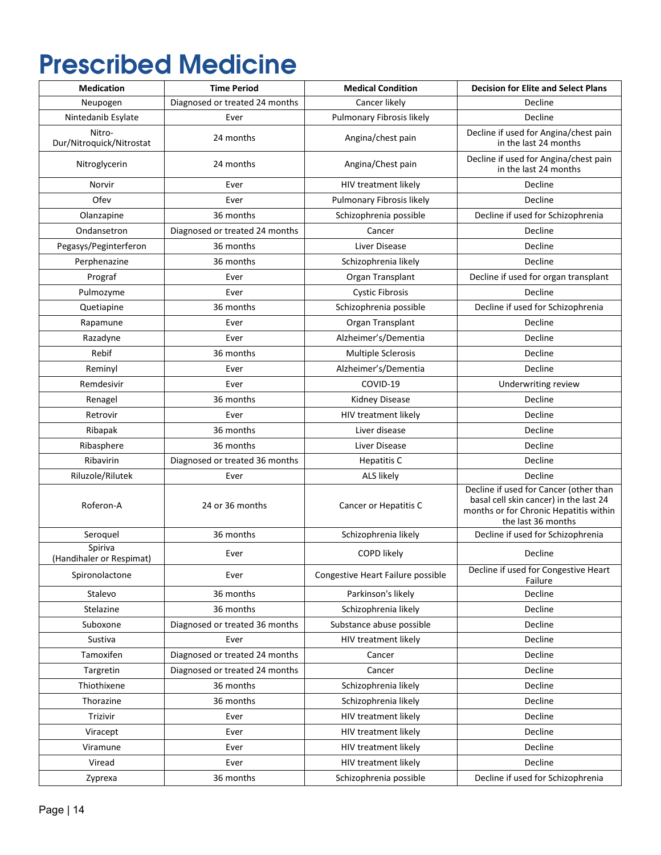### **Prescribed Medicine**

| <b>Medication</b>                   | <b>Time Period</b>             | <b>Medical Condition</b>          | <b>Decision for Elite and Select Plans</b>                                                                                                       |
|-------------------------------------|--------------------------------|-----------------------------------|--------------------------------------------------------------------------------------------------------------------------------------------------|
| Neupogen                            | Diagnosed or treated 24 months | Cancer likely                     | Decline                                                                                                                                          |
| Nintedanib Esylate                  | Ever                           | Pulmonary Fibrosis likely         | Decline                                                                                                                                          |
| Nitro-<br>Dur/Nitroquick/Nitrostat  | 24 months                      | Angina/chest pain                 | Decline if used for Angina/chest pain<br>in the last 24 months                                                                                   |
| Nitroglycerin                       | 24 months                      | Angina/Chest pain                 | Decline if used for Angina/chest pain<br>in the last 24 months                                                                                   |
| Norvir                              | Ever                           | HIV treatment likely              | Decline                                                                                                                                          |
| Ofev                                | Ever                           | Pulmonary Fibrosis likely         | Decline                                                                                                                                          |
| Olanzapine                          | 36 months                      | Schizophrenia possible            | Decline if used for Schizophrenia                                                                                                                |
| Ondansetron                         | Diagnosed or treated 24 months | Cancer                            | Decline                                                                                                                                          |
| Pegasys/Peginterferon               | 36 months                      | Liver Disease                     | Decline                                                                                                                                          |
| Perphenazine                        | 36 months                      | Schizophrenia likely              | Decline                                                                                                                                          |
| Prograf                             | Ever                           | Organ Transplant                  | Decline if used for organ transplant                                                                                                             |
| Pulmozyme                           | Ever                           | <b>Cystic Fibrosis</b>            | Decline                                                                                                                                          |
| Quetiapine                          | 36 months                      | Schizophrenia possible            | Decline if used for Schizophrenia                                                                                                                |
| Rapamune                            | Ever                           | Organ Transplant                  | Decline                                                                                                                                          |
| Razadyne                            | Ever                           | Alzheimer's/Dementia              | Decline                                                                                                                                          |
| Rebif                               | 36 months                      | Multiple Sclerosis                | Decline                                                                                                                                          |
| Reminyl                             | Ever                           | Alzheimer's/Dementia              | Decline                                                                                                                                          |
| Remdesivir                          | Ever                           | COVID-19                          | Underwriting review                                                                                                                              |
| Renagel                             | 36 months                      | <b>Kidney Disease</b>             | Decline                                                                                                                                          |
| Retrovir                            | Ever                           | HIV treatment likely              | Decline                                                                                                                                          |
| Ribapak                             | 36 months                      | Liver disease                     | Decline                                                                                                                                          |
| Ribasphere                          | 36 months                      | <b>Liver Disease</b>              | Decline                                                                                                                                          |
| Ribavirin                           | Diagnosed or treated 36 months | <b>Hepatitis C</b>                | Decline                                                                                                                                          |
| Riluzole/Rilutek                    | Ever                           | <b>ALS likely</b>                 | Decline                                                                                                                                          |
| Roferon-A                           | 24 or 36 months                | Cancer or Hepatitis C             | Decline if used for Cancer (other than<br>basal cell skin cancer) in the last 24<br>months or for Chronic Hepatitis within<br>the last 36 months |
| Seroquel                            | 36 months                      | Schizophrenia likely              | Decline if used for Schizophrenia                                                                                                                |
| Spiriva<br>(Handihaler or Respimat) | Ever                           | <b>COPD likely</b>                | Decline                                                                                                                                          |
| Spironolactone                      | Ever                           | Congestive Heart Failure possible | Decline if used for Congestive Heart<br>Failure                                                                                                  |
| Stalevo                             | 36 months                      | Parkinson's likely                | Decline                                                                                                                                          |
| Stelazine                           | 36 months                      | Schizophrenia likely              | Decline                                                                                                                                          |
| Suboxone                            | Diagnosed or treated 36 months | Substance abuse possible          | Decline                                                                                                                                          |
| Sustiva                             | Ever                           | HIV treatment likely              | Decline                                                                                                                                          |
| Tamoxifen                           | Diagnosed or treated 24 months | Cancer                            | Decline                                                                                                                                          |
| Targretin                           | Diagnosed or treated 24 months | Cancer                            | Decline                                                                                                                                          |
| Thiothixene                         | 36 months                      | Schizophrenia likely              | Decline                                                                                                                                          |
| Thorazine                           | 36 months                      | Schizophrenia likely              | Decline                                                                                                                                          |
| Trizivir                            | Ever                           | HIV treatment likely              | Decline                                                                                                                                          |
| Viracept                            | Ever                           | HIV treatment likely              | Decline                                                                                                                                          |
| Viramune                            | Ever                           | HIV treatment likely              | Decline                                                                                                                                          |
| Viread                              | Ever                           | HIV treatment likely              | Decline                                                                                                                                          |
| Zyprexa                             | 36 months                      | Schizophrenia possible            | Decline if used for Schizophrenia                                                                                                                |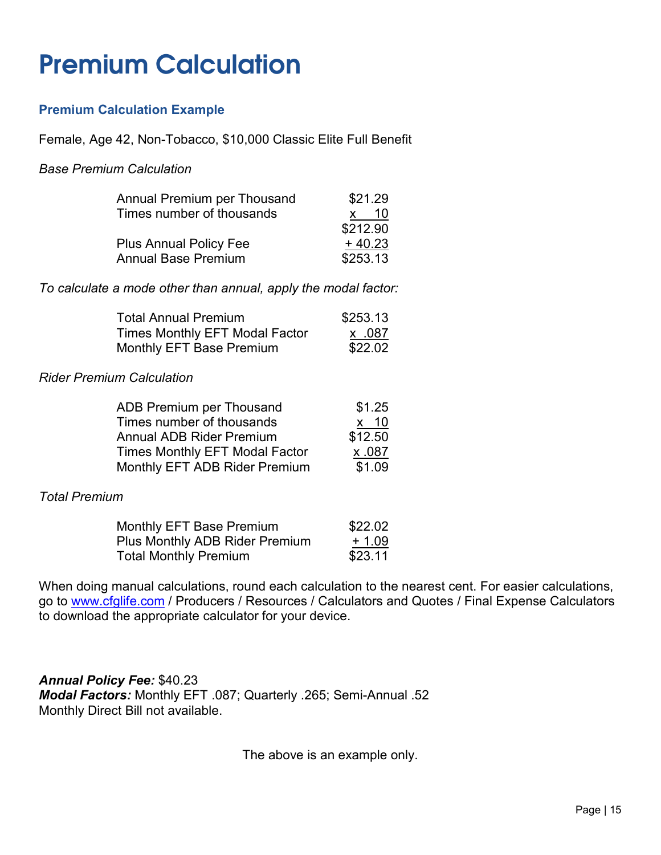### <span id="page-18-0"></span>**Premium Calculation**

### **Premium Calculation Example**

Female, Age 42, Non-Tobacco, \$10,000 Classic Elite Full Benefit

#### *Base Premium Calculation*

| Annual Premium per Thousand   | \$21.29             |
|-------------------------------|---------------------|
| Times number of thousands     | -10<br>$\mathsf{x}$ |
|                               | \$212.90            |
| <b>Plus Annual Policy Fee</b> | $+40.23$            |
| <b>Annual Base Premium</b>    | \$253.13            |

*To calculate a mode other than annual, apply the modal factor:*

| Total Annual Premium           | \$253.13 |
|--------------------------------|----------|
| Times Monthly EFT Modal Factor | x .087   |
| Monthly EFT Base Premium       | \$22.02  |

#### *Rider Premium Calculation*

| <b>ADB Premium per Thousand</b>       | \$1.25  |
|---------------------------------------|---------|
| Times number of thousands             | $x$ 10  |
| <b>Annual ADB Rider Premium</b>       | \$12.50 |
| <b>Times Monthly EFT Modal Factor</b> | x.087   |
| Monthly EFT ADB Rider Premium         | \$1.09  |

#### *Total Premium*

| Monthly EFT Base Premium       | \$22.02 |
|--------------------------------|---------|
| Plus Monthly ADB Rider Premium | + 1.09  |
| Total Monthly Premium          | \$23.11 |

When doing manual calculations, round each calculation to the nearest cent. For easier calculations, go to [www.cfglife.com](http://www.cfglife.com/) / Producers / Resources / Calculators and Quotes / Final Expense Calculators to download the appropriate calculator for your device.

*Annual Policy Fee:* \$40.23 *Modal Factors:* Monthly EFT .087; Quarterly .265; Semi-Annual .52 Monthly Direct Bill not available.

The above is an example only.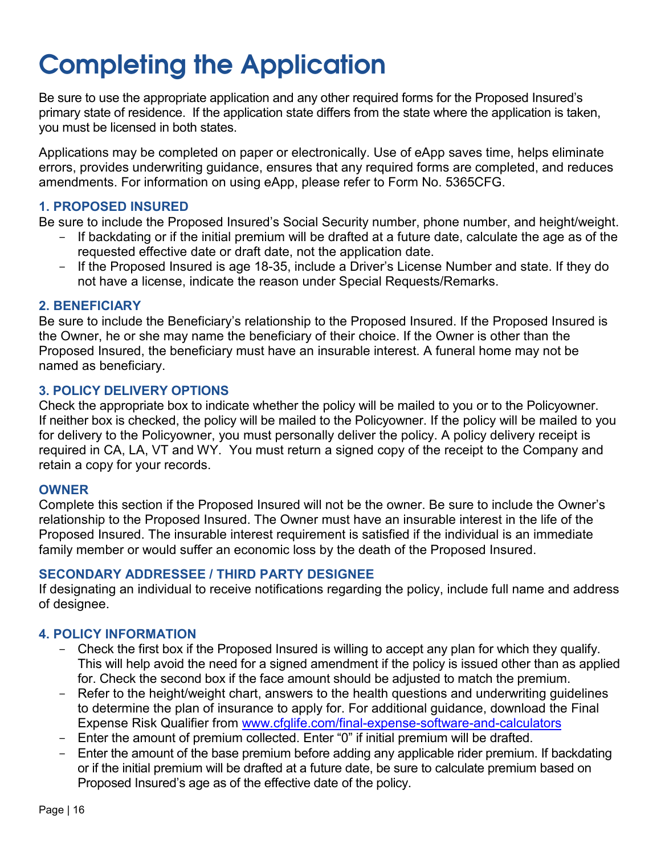<span id="page-19-0"></span>Be sure to use the appropriate application and any other required forms for the Proposed Insured's primary state of residence. If the application state differs from the state where the application is taken, you must be licensed in both states.

Applications may be completed on paper or electronically. Use of eApp saves time, helps eliminate errors, provides underwriting guidance, ensures that any required forms are completed, and reduces amendments. For information on using eApp, please refer to Form No. 5365CFG.

### **1. PROPOSED INSURED**

Be sure to include the Proposed Insured's Social Security number, phone number, and height/weight.

- If backdating or if the initial premium will be drafted at a future date, calculate the age as of the requested effective date or draft date, not the application date.
- If the Proposed Insured is age 18-35, include a Driver's License Number and state. If they do not have a license, indicate the reason under Special Requests/Remarks.

#### **2. BENEFICIARY**

Be sure to include the Beneficiary's relationship to the Proposed Insured. If the Proposed Insured is the Owner, he or she may name the beneficiary of their choice. If the Owner is other than the Proposed Insured, the beneficiary must have an insurable interest. A funeral home may not be named as beneficiary.

### **3. POLICY DELIVERY OPTIONS**

Check the appropriate box to indicate whether the policy will be mailed to you or to the Policyowner. If neither box is checked, the policy will be mailed to the Policyowner. If the policy will be mailed to you for delivery to the Policyowner, you must personally deliver the policy. A policy delivery receipt is required in CA, LA, VT and WY. You must return a signed copy of the receipt to the Company and retain a copy for your records.

#### **OWNER**

Complete this section if the Proposed Insured will not be the owner. Be sure to include the Owner's relationship to the Proposed Insured. The Owner must have an insurable interest in the life of the Proposed Insured. The insurable interest requirement is satisfied if the individual is an immediate family member or would suffer an economic loss by the death of the Proposed Insured.

### **SECONDARY ADDRESSEE / THIRD PARTY DESIGNEE**

If designating an individual to receive notifications regarding the policy, include full name and address of designee.

### **4. POLICY INFORMATION**

- Check the first box if the Proposed Insured is willing to accept any plan for which they qualify. This will help avoid the need for a signed amendment if the policy is issued other than as applied for. Check the second box if the face amount should be adjusted to match the premium.
- Refer to the height/weight chart, answers to the health questions and underwriting quidelines to determine the plan of insurance to apply for. For additional guidance, download the Final Expense Risk Qualifier from [www.cfglife.com/final-expense-software-and-calculators](http://www.cfglife.com/final-expense-software-and-calculators)
- Enter the amount of premium collected. Enter "0" if initial premium will be drafted.
- Enter the amount of the base premium before adding any applicable rider premium. If backdating or if the initial premium will be drafted at a future date, be sure to calculate premium based on Proposed Insured's age as of the effective date of the policy.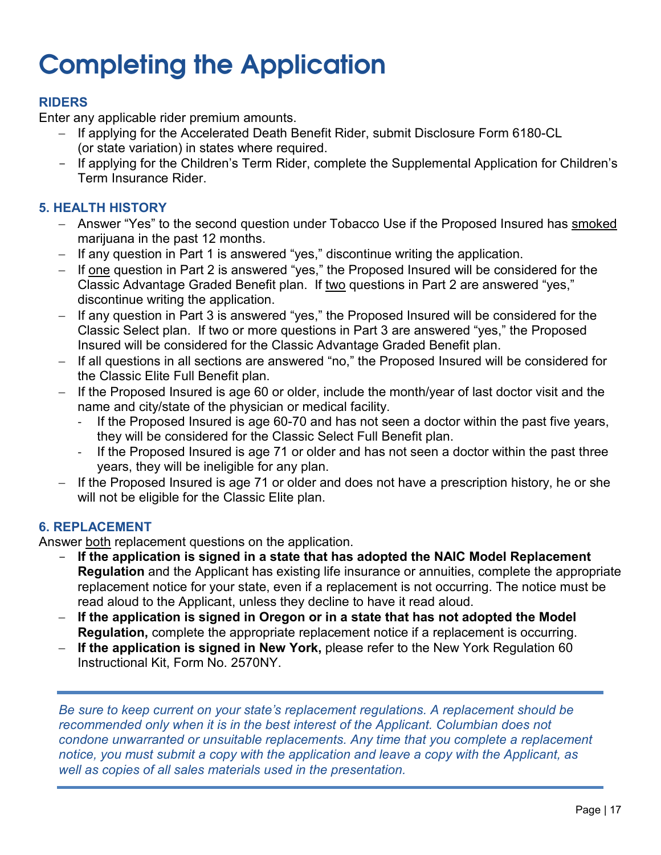### **RIDERS**

Enter any applicable rider premium amounts.

- − If applying for the Accelerated Death Benefit Rider, submit Disclosure Form 6180-CL (or state variation) in states where required.
- If applying for the Children's Term Rider, complete the Supplemental Application for Children's Term Insurance Rider.

### **5. HEALTH HISTORY**

- − Answer "Yes" to the second question under Tobacco Use if the Proposed Insured has smoked marijuana in the past 12 months.
- − If any question in Part 1 is answered "yes," discontinue writing the application.
- − If one question in Part 2 is answered "yes," the Proposed Insured will be considered for the Classic Advantage Graded Benefit plan. If two questions in Part 2 are answered "yes," discontinue writing the application.
- − If any question in Part 3 is answered "yes," the Proposed Insured will be considered for the Classic Select plan. If two or more questions in Part 3 are answered "yes," the Proposed Insured will be considered for the Classic Advantage Graded Benefit plan.
- − If all questions in all sections are answered "no," the Proposed Insured will be considered for the Classic Elite Full Benefit plan.
- − If the Proposed Insured is age 60 or older, include the month/year of last doctor visit and the name and city/state of the physician or medical facility.
	- If the Proposed Insured is age 60-70 and has not seen a doctor within the past five years, they will be considered for the Classic Select Full Benefit plan.
	- If the Proposed Insured is age 71 or older and has not seen a doctor within the past three years, they will be ineligible for any plan.
- − If the Proposed Insured is age 71 or older and does not have a prescription history, he or she will not be eligible for the Classic Elite plan.

### **6. REPLACEMENT**

Answer both replacement questions on the application.

- If the application is signed in a state that has adopted the NAIC Model Replacement **Regulation** and the Applicant has existing life insurance or annuities, complete the appropriate replacement notice for your state, even if a replacement is not occurring. The notice must be read aloud to the Applicant, unless they decline to have it read aloud.
- − **If the application is signed in Oregon or in a state that has not adopted the Model Regulation,** complete the appropriate replacement notice if a replacement is occurring.
- − **If the application is signed in New York,** please refer to the New York Regulation 60 Instructional Kit, Form No. 2570NY.

*Be sure to keep current on your state's replacement regulations. A replacement should be recommended only when it is in the best interest of the Applicant. Columbian does not condone unwarranted or unsuitable replacements. Any time that you complete a replacement notice, you must submit a copy with the application and leave a copy with the Applicant, as well as copies of all sales materials used in the presentation.*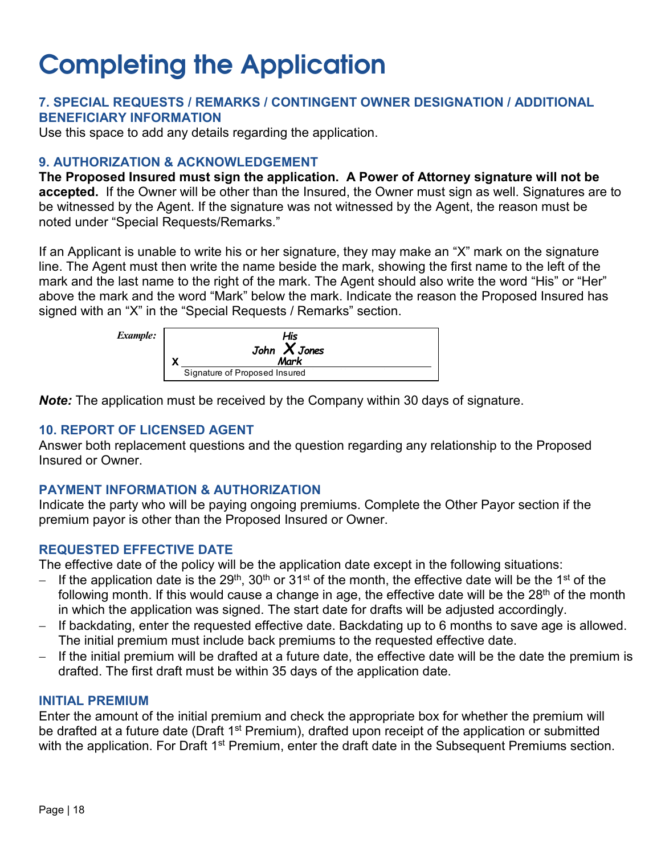### **7. SPECIAL REQUESTS / REMARKS / CONTINGENT OWNER DESIGNATION / ADDITIONAL BENEFICIARY INFORMATION**

Use this space to add any details regarding the application.

#### **9. AUTHORIZATION & ACKNOWLEDGEMENT**

**The Proposed Insured must sign the application. A Power of Attorney signature will not be accepted.** If the Owner will be other than the Insured, the Owner must sign as well. Signatures are to be witnessed by the Agent. If the signature was not witnessed by the Agent, the reason must be noted under "Special Requests/Remarks."

If an Applicant is unable to write his or her signature, they may make an "X" mark on the signature line. The Agent must then write the name beside the mark, showing the first name to the left of the mark and the last name to the right of the mark. The Agent should also write the word "His" or "Her" above the mark and the word "Mark" below the mark. Indicate the reason the Proposed Insured has signed with an "X" in the "Special Requests / Remarks" section.



*Note:* The application must be received by the Company within 30 days of signature.

### **10. REPORT OF LICENSED AGENT**

Answer both replacement questions and the question regarding any relationship to the Proposed Insured or Owner.

### **PAYMENT INFORMATION & AUTHORIZATION**

Indicate the party who will be paying ongoing premiums. Complete the Other Payor section if the premium payor is other than the Proposed Insured or Owner.

### **REQUESTED EFFECTIVE DATE**

The effective date of the policy will be the application date except in the following situations:

- If the application date is the 29<sup>th</sup>, 30<sup>th</sup> or 31<sup>st</sup> of the month, the effective date will be the 1<sup>st</sup> of the following month. If this would cause a change in age, the effective date will be the  $28<sup>th</sup>$  of the month in which the application was signed. The start date for drafts will be adjusted accordingly.
- − If backdating, enter the requested effective date. Backdating up to 6 months to save age is allowed. The initial premium must include back premiums to the requested effective date.
- − If the initial premium will be drafted at a future date, the effective date will be the date the premium is drafted. The first draft must be within 35 days of the application date.

#### **INITIAL PREMIUM**

Enter the amount of the initial premium and check the appropriate box for whether the premium will be drafted at a future date (Draft 1<sup>st</sup> Premium), drafted upon receipt of the application or submitted with the application. For Draft 1<sup>st</sup> Premium, enter the draft date in the Subsequent Premiums section.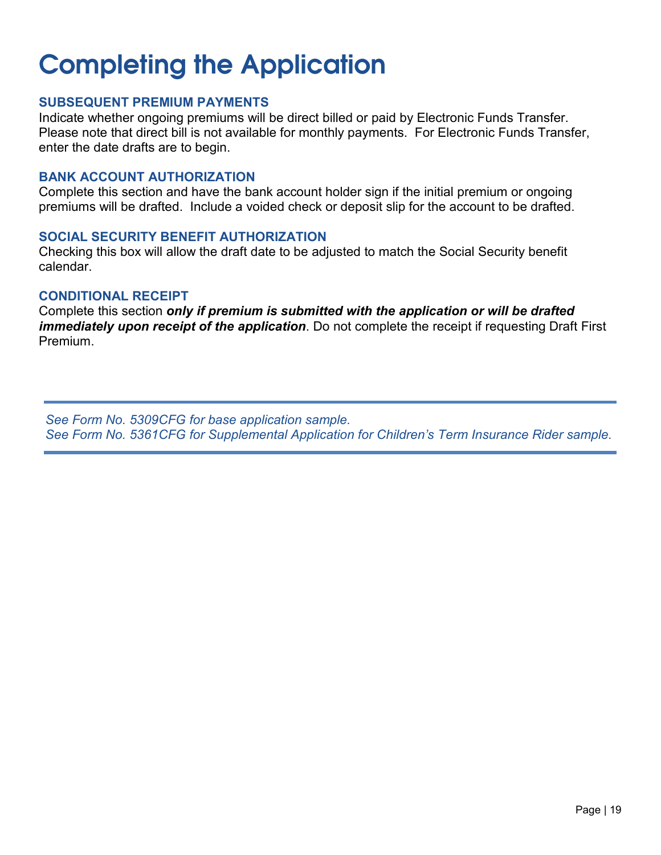### **SUBSEQUENT PREMIUM PAYMENTS**

Indicate whether ongoing premiums will be direct billed or paid by Electronic Funds Transfer. Please note that direct bill is not available for monthly payments. For Electronic Funds Transfer, enter the date drafts are to begin.

#### **BANK ACCOUNT AUTHORIZATION**

Complete this section and have the bank account holder sign if the initial premium or ongoing premiums will be drafted. Include a voided check or deposit slip for the account to be drafted.

#### **SOCIAL SECURITY BENEFIT AUTHORIZATION**

Checking this box will allow the draft date to be adjusted to match the Social Security benefit calendar.

#### **CONDITIONAL RECEIPT**

Complete this section *only if premium is submitted with the application or will be drafted immediately upon receipt of the application*. Do not complete the receipt if requesting Draft First Premium.

*See Form No. 5309CFG for base application sample. See Form No. 5361CFG for Supplemental Application for Children's Term Insurance Rider sample.*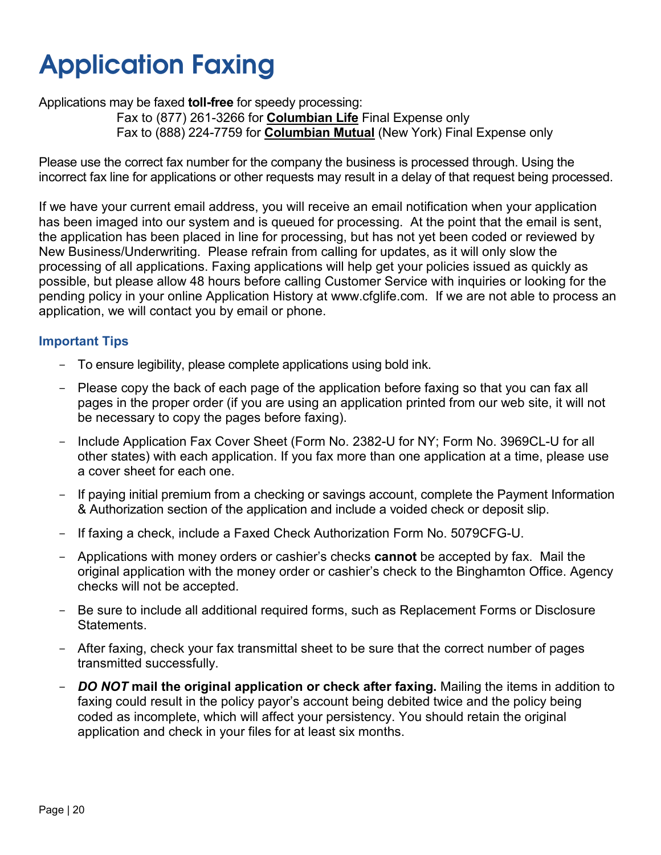### <span id="page-23-0"></span>**Application Faxing**

Applications may be faxed **toll-free** for speedy processing:

Fax to (877) 261-3266 for **Columbian Life** Final Expense only Fax to (888) 224-7759 for **Columbian Mutual** (New York) Final Expense only

Please use the correct fax number for the company the business is processed through. Using the incorrect fax line for applications or other requests may result in a delay of that request being processed.

If we have your current email address, you will receive an email notification when your application has been imaged into our system and is queued for processing. At the point that the email is sent, the application has been placed in line for processing, but has not yet been coded or reviewed by New Business/Underwriting. Please refrain from calling for updates, as it will only slow the processing of all applications. Faxing applications will help get your policies issued as quickly as possible, but please allow 48 hours before calling Customer Service with inquiries or looking for the pending policy in your online Application History at www.cfglife.com. If we are not able to process an application, we will contact you by email or phone.

### **Important Tips**

- To ensure legibility, please complete applications using bold ink.
- Please copy the back of each page of the application before faxing so that you can fax all pages in the proper order (if you are using an application printed from our web site, it will not be necessary to copy the pages before faxing).
- Include Application Fax Cover Sheet (Form No. 2382-U for NY; Form No. 3969CL-U for all other states) with each application. If you fax more than one application at a time, please use a cover sheet for each one.
- If paying initial premium from a checking or savings account, complete the Payment Information & Authorization section of the application and include a voided check or deposit slip.
- If faxing a check, include a Faxed Check Authorization Form No. 5079CFG-U.
- Applications with money orders or cashier's checks **cannot** be accepted by fax. Mail the original application with the money order or cashier's check to the Binghamton Office. Agency checks will not be accepted.
- Be sure to include all additional required forms, such as Replacement Forms or Disclosure Statements.
- After faxing, check your fax transmittal sheet to be sure that the correct number of pages transmitted successfully.
- *DO NOT* **mail the original application or check after faxing.** Mailing the items in addition to faxing could result in the policy payor's account being debited twice and the policy being coded as incomplete, which will affect your persistency. You should retain the original application and check in your files for at least six months.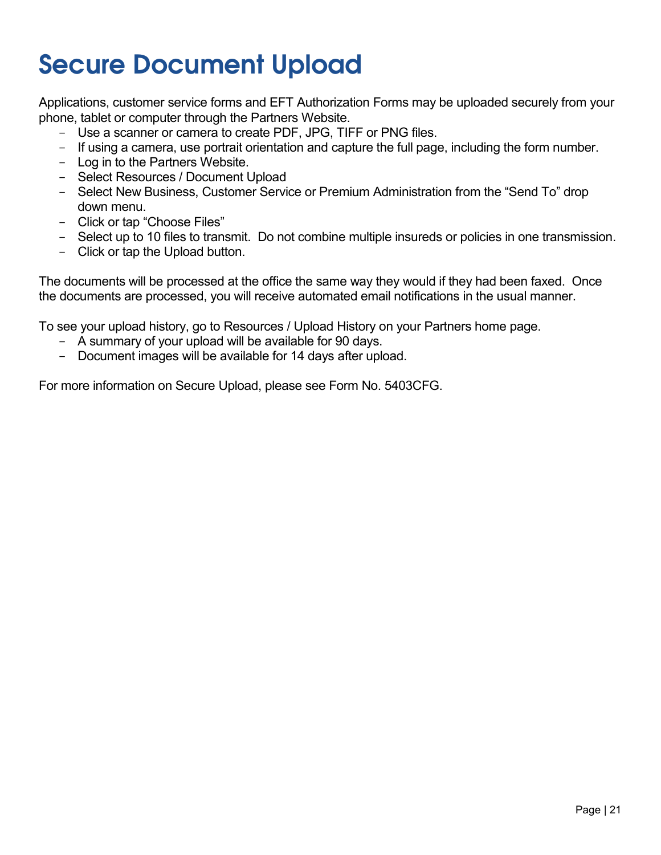### <span id="page-24-0"></span>**Secure Document Upload**

Applications, customer service forms and EFT Authorization Forms may be uploaded securely from your phone, tablet or computer through the Partners Website.

- Use a scanner or camera to create PDF, JPG, TIFF or PNG files.
- If using a camera, use portrait orientation and capture the full page, including the form number.
- Log in to the Partners Website.
- Select Resources / Document Upload
- Select New Business, Customer Service or Premium Administration from the "Send To" drop down menu.
- Click or tap "Choose Files"
- Select up to 10 files to transmit. Do not combine multiple insureds or policies in one transmission.
- Click or tap the Upload button.

The documents will be processed at the office the same way they would if they had been faxed. Once the documents are processed, you will receive automated email notifications in the usual manner.

To see your upload history, go to Resources / Upload History on your Partners home page.

- A summary of your upload will be available for 90 days.
- Document images will be available for 14 days after upload.

For more information on Secure Upload, please see Form No. 5403CFG.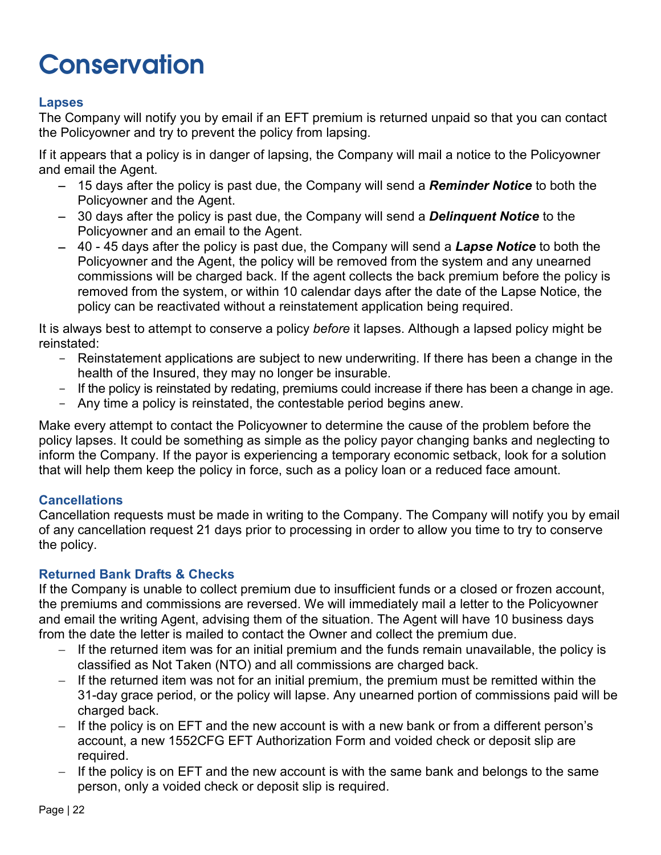### <span id="page-25-0"></span>**Conservation**

### **Lapses**

The Company will notify you by email if an EFT premium is returned unpaid so that you can contact the Policyowner and try to prevent the policy from lapsing.

If it appears that a policy is in danger of lapsing, the Company will mail a notice to the Policyowner and email the Agent.

- − 15 days after the policy is past due, the Company will send a *Reminder Notice* to both the Policyowner and the Agent.
- − 30 days after the policy is past due, the Company will send a *Delinquent Notice* to the Policyowner and an email to the Agent.
- − 40 45 days after the policy is past due, the Company will send a *Lapse Notice* to both the Policyowner and the Agent, the policy will be removed from the system and any unearned commissions will be charged back. If the agent collects the back premium before the policy is removed from the system, or within 10 calendar days after the date of the Lapse Notice, the policy can be reactivated without a reinstatement application being required.

It is always best to attempt to conserve a policy *before* it lapses. Although a lapsed policy might be reinstated:

- Reinstatement applications are subject to new underwriting. If there has been a change in the health of the Insured, they may no longer be insurable.
- If the policy is reinstated by redating, premiums could increase if there has been a change in age.
- Any time a policy is reinstated, the contestable period begins anew.

Make every attempt to contact the Policyowner to determine the cause of the problem before the policy lapses. It could be something as simple as the policy payor changing banks and neglecting to inform the Company. If the payor is experiencing a temporary economic setback, look for a solution that will help them keep the policy in force, such as a policy loan or a reduced face amount.

#### **Cancellations**

Cancellation requests must be made in writing to the Company. The Company will notify you by email of any cancellation request 21 days prior to processing in order to allow you time to try to conserve the policy.

### **Returned Bank Drafts & Checks**

If the Company is unable to collect premium due to insufficient funds or a closed or frozen account, the premiums and commissions are reversed. We will immediately mail a letter to the Policyowner and email the writing Agent, advising them of the situation. The Agent will have 10 business days from the date the letter is mailed to contact the Owner and collect the premium due.

- If the returned item was for an initial premium and the funds remain unavailable, the policy is classified as Not Taken (NTO) and all commissions are charged back.
- − If the returned item was not for an initial premium, the premium must be remitted within the 31-day grace period, or the policy will lapse. Any unearned portion of commissions paid will be charged back.
- − If the policy is on EFT and the new account is with a new bank or from a different person's account, a new 1552CFG EFT Authorization Form and voided check or deposit slip are required.
- − If the policy is on EFT and the new account is with the same bank and belongs to the same person, only a voided check or deposit slip is required.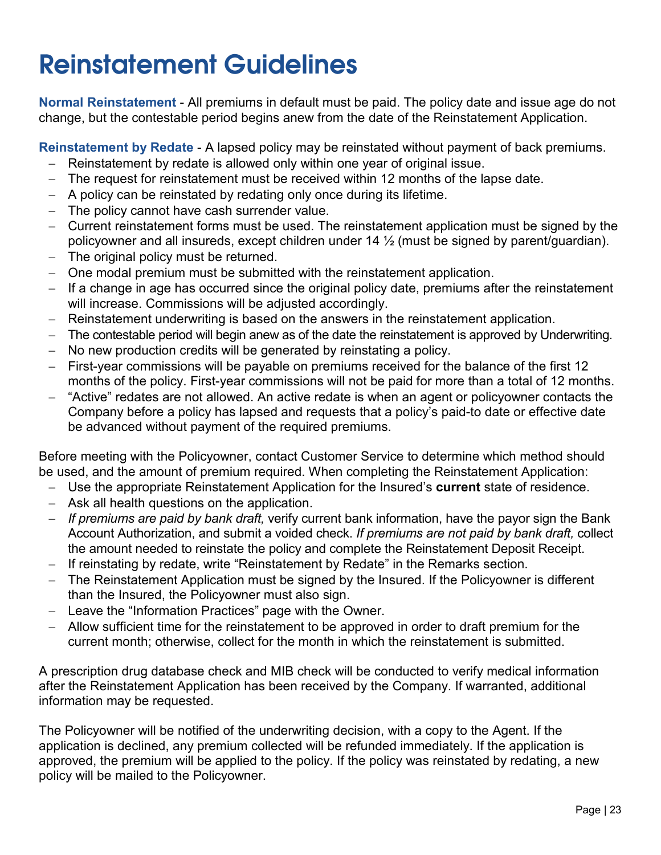### <span id="page-26-0"></span>**Reinstatement Guidelines**

**Normal Reinstatement** - All premiums in default must be paid. The policy date and issue age do not change, but the contestable period begins anew from the date of the Reinstatement Application.

**Reinstatement by Redate** - A lapsed policy may be reinstated without payment of back premiums.

- − Reinstatement by redate is allowed only within one year of original issue.
- − The request for reinstatement must be received within 12 months of the lapse date.
- − A policy can be reinstated by redating only once during its lifetime.
- − The policy cannot have cash surrender value.
- − Current reinstatement forms must be used. The reinstatement application must be signed by the policyowner and all insureds, except children under 14 ½ (must be signed by parent/guardian).
- − The original policy must be returned.
- One modal premium must be submitted with the reinstatement application.
- − If a change in age has occurred since the original policy date, premiums after the reinstatement will increase. Commissions will be adjusted accordingly.
- − Reinstatement underwriting is based on the answers in the reinstatement application.
- − The contestable period will begin anew as of the date the reinstatement is approved by Underwriting.
- No new production credits will be generated by reinstating a policy.
- − First-year commissions will be payable on premiums received for the balance of the first 12 months of the policy. First-year commissions will not be paid for more than a total of 12 months.
- − "Active" redates are not allowed. An active redate is when an agent or policyowner contacts the Company before a policy has lapsed and requests that a policy's paid-to date or effective date be advanced without payment of the required premiums.

Before meeting with the Policyowner, contact Customer Service to determine which method should be used, and the amount of premium required. When completing the Reinstatement Application:

- − Use the appropriate Reinstatement Application for the Insured's **current** state of residence.
- − Ask all health questions on the application.
- − *If premiums are paid by bank draft,* verify current bank information, have the payor sign the Bank Account Authorization, and submit a voided check. *If premiums are not paid by bank draft,* collect the amount needed to reinstate the policy and complete the Reinstatement Deposit Receipt.
- − If reinstating by redate, write "Reinstatement by Redate" in the Remarks section.
- The Reinstatement Application must be signed by the Insured. If the Policyowner is different than the Insured, the Policyowner must also sign.
- − Leave the "Information Practices" page with the Owner.
- − Allow sufficient time for the reinstatement to be approved in order to draft premium for the current month; otherwise, collect for the month in which the reinstatement is submitted.

A prescription drug database check and MIB check will be conducted to verify medical information after the Reinstatement Application has been received by the Company. If warranted, additional information may be requested.

The Policyowner will be notified of the underwriting decision, with a copy to the Agent. If the application is declined, any premium collected will be refunded immediately. If the application is approved, the premium will be applied to the policy. If the policy was reinstated by redating, a new policy will be mailed to the Policyowner.